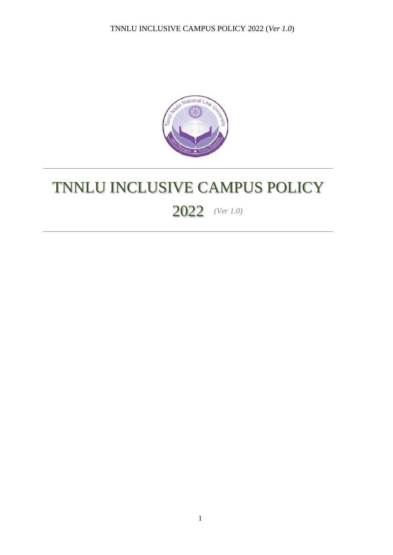

# TNNLU INCLUSIVE CAMPUS POLICY

## *(Ver 1.0)* 2022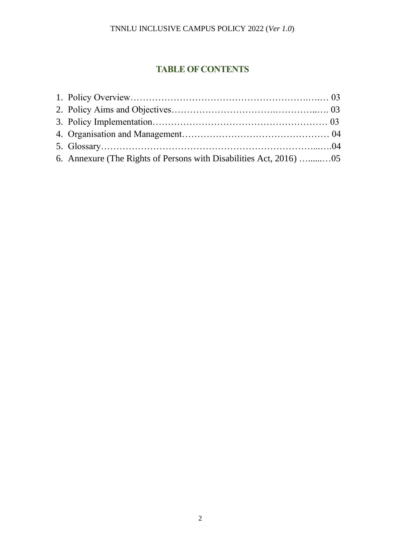## **TABLE OF CONTENTS**

| 6. Annexure (The Rights of Persons with Disabilities Act, 2016) 05 |  |
|--------------------------------------------------------------------|--|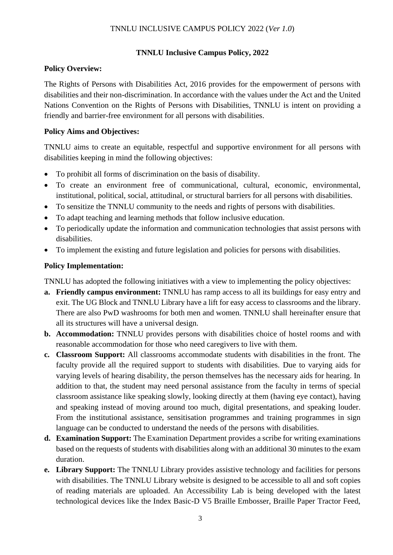## **TNNLU Inclusive Campus Policy, 2022**

## **Policy Overview:**

The Rights of Persons with Disabilities Act, 2016 provides for the empowerment of persons with disabilities and their non-discrimination. In accordance with the values under the Act and the United Nations Convention on the Rights of Persons with Disabilities, TNNLU is intent on providing a friendly and barrier-free environment for all persons with disabilities.

## **Policy Aims and Objectives:**

TNNLU aims to create an equitable, respectful and supportive environment for all persons with disabilities keeping in mind the following objectives:

- To prohibit all forms of discrimination on the basis of disability.
- To create an environment free of communicational, cultural, economic, environmental, institutional, political, social, attitudinal, or structural barriers for all persons with disabilities.
- To sensitize the TNNLU community to the needs and rights of persons with disabilities.
- To adapt teaching and learning methods that follow inclusive education.
- To periodically update the information and communication technologies that assist persons with disabilities.
- To implement the existing and future legislation and policies for persons with disabilities.

## **Policy Implementation:**

TNNLU has adopted the following initiatives with a view to implementing the policy objectives:

- **a. Friendly campus environment:** TNNLU has ramp access to all its buildings for easy entry and exit. The UG Block and TNNLU Library have a lift for easy access to classrooms and the library. There are also PwD washrooms for both men and women. TNNLU shall hereinafter ensure that all its structures will have a universal design.
- **b. Accommodation:** TNNLU provides persons with disabilities choice of hostel rooms and with reasonable accommodation for those who need caregivers to live with them.
- **c. Classroom Support:** All classrooms accommodate students with disabilities in the front. The faculty provide all the required support to students with disabilities. Due to varying aids for varying levels of hearing disability, the person themselves has the necessary aids for hearing. In addition to that, the student may need personal assistance from the faculty in terms of special classroom assistance like speaking slowly, looking directly at them (having eye contact), having and speaking instead of moving around too much, digital presentations, and speaking louder. From the institutional assistance, sensitisation programmes and training programmes in sign language can be conducted to understand the needs of the persons with disabilities.
- **d. Examination Support:** The Examination Department provides a scribe for writing examinations based on the requests of students with disabilities along with an additional 30 minutes to the exam duration.
- **e. Library Support:** The TNNLU Library provides assistive technology and facilities for persons with disabilities. The TNNLU Library website is designed to be accessible to all and soft copies of reading materials are uploaded. An Accessibility Lab is being developed with the latest technological devices like the Index Basic-D V5 Braille Embosser, Braille Paper Tractor Feed,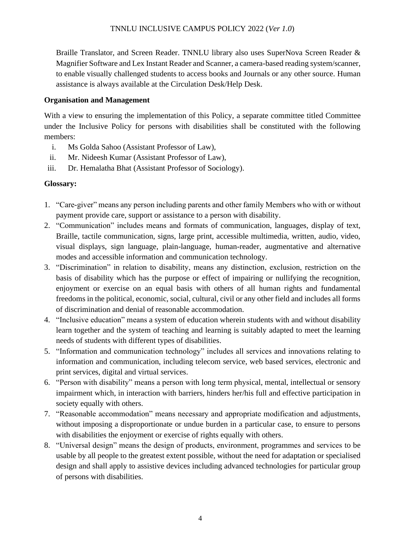Braille Translator, and Screen Reader. TNNLU library also uses SuperNova Screen Reader & Magnifier Software and Lex Instant Reader and Scanner, a camera-based reading system/scanner, to enable visually challenged students to access books and Journals or any other source. Human assistance is always available at the Circulation Desk/Help Desk.

## **Organisation and Management**

With a view to ensuring the implementation of this Policy, a separate committee titled Committee under the Inclusive Policy for persons with disabilities shall be constituted with the following members:

- i. Ms Golda Sahoo (Assistant Professor of Law),
- ii. Mr. Nideesh Kumar (Assistant Professor of Law),
- iii. Dr. Hemalatha Bhat (Assistant Professor of Sociology).

## **Glossary:**

- 1. "Care-giver" means any person including parents and other family Members who with or without payment provide care, support or assistance to a person with disability.
- 2. "Communication" includes means and formats of communication, languages, display of text, Braille, tactile communication, signs, large print, accessible multimedia, written, audio, video, visual displays, sign language, plain-language, human-reader, augmentative and alternative modes and accessible information and communication technology.
- 3. "Discrimination" in relation to disability, means any distinction, exclusion, restriction on the basis of disability which has the purpose or effect of impairing or nullifying the recognition, enjoyment or exercise on an equal basis with others of all human rights and fundamental freedoms in the political, economic, social, cultural, civil or any other field and includes all forms of discrimination and denial of reasonable accommodation.
- 4. "Inclusive education" means a system of education wherein students with and without disability learn together and the system of teaching and learning is suitably adapted to meet the learning needs of students with different types of disabilities.
- 5. "Information and communication technology" includes all services and innovations relating to information and communication, including telecom service, web based services, electronic and print services, digital and virtual services.
- 6. "Person with disability" means a person with long term physical, mental, intellectual or sensory impairment which, in interaction with barriers, hinders her/his full and effective participation in society equally with others.
- 7. "Reasonable accommodation" means necessary and appropriate modification and adjustments, without imposing a disproportionate or undue burden in a particular case, to ensure to persons with disabilities the enjoyment or exercise of rights equally with others.
- 8. "Universal design" means the design of products, environment, programmes and services to be usable by all people to the greatest extent possible, without the need for adaptation or specialised design and shall apply to assistive devices including advanced technologies for particular group of persons with disabilities.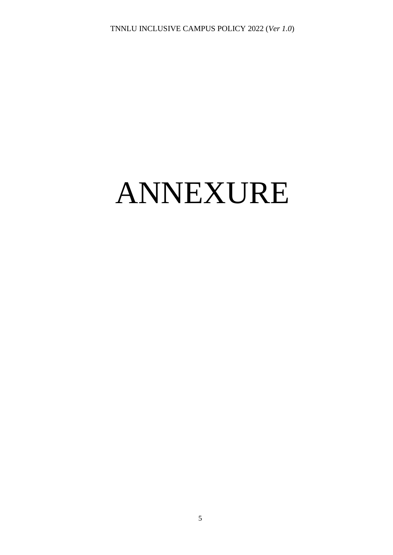# ANNEXURE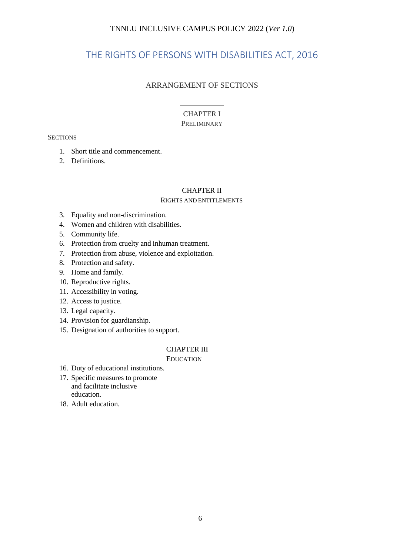## THE RIGHTS OF PERSONS WITH DISABILITIES ACT, 2016

#### ARRANGEMENT OF SECTIONS

#### CHAPTER I **PRELIMINARY**

#### **SECTIONS**

- 1. Short title and commencement.
- 2. Definitions.

#### CHAPTER II

#### RIGHTS AND ENTITLEMENTS

- 3. Equality and non-discrimination.
- 4. Women and children with disabilities.
- 5. Community life.
- 6. Protection from cruelty and inhuman treatment.
- 7. Protection from abuse, violence and exploitation.
- 8. Protection and safety.
- 9. Home and family.
- 10. Reproductive rights.
- 11. Accessibility in voting.
- 12. Access to justice.
- 13. Legal capacity.
- 14. Provision for guardianship.
- 15. Designation of authorities to support.

#### CHAPTER III

EDUCATION

- 16. Duty of educational institutions.
- 17. Specific measures to promote and facilitate inclusive education.
- 18. Adult education.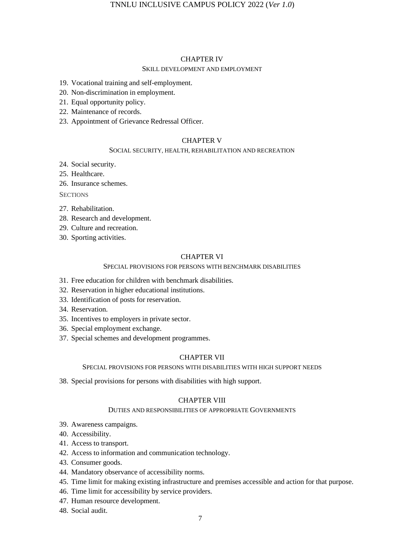#### CHAPTER IV

#### SKILL DEVELOPMENT AND EMPLOYMENT

- 19. Vocational training and self-employment.
- 20. Non-discrimination in employment.
- 21. Equal opportunity policy.
- 22. Maintenance of records.
- 23. Appointment of Grievance Redressal Officer.

#### CHAPTER V

#### SOCIAL SECURITY, HEALTH, REHABILITATION AND RECREATION

- 24. Social security.
- 25. Healthcare.

26. Insurance schemes.

**SECTIONS** 

- 27. Rehabilitation.
- 28. Research and development.
- 29. Culture and recreation.
- 30. Sporting activities.

#### CHAPTER VI

#### SPECIAL PROVISIONS FOR PERSONS WITH BENCHMARK DISABILITIES

- 31. Free education for children with benchmark disabilities.
- 32. Reservation in higher educational institutions.
- 33. Identification of posts for reservation.
- 34. Reservation.
- 35. Incentives to employers in private sector.
- 36. Special employment exchange.
- 37. Special schemes and development programmes.

#### CHAPTER VII

#### SPECIAL PROVISIONS FOR PERSONS WITH DISABILITIES WITH HIGH SUPPORT NEEDS

38. Special provisions for persons with disabilities with high support.

#### CHAPTER VIII

#### DUTIES AND RESPONSIBILITIES OF APPROPRIATE GOVERNMENTS

- 39. Awareness campaigns.
- 40. Accessibility.
- 41. Access to transport.
- 42. Access to information and communication technology.
- 43. Consumer goods.
- 44. Mandatory observance of accessibility norms.
- 45. Time limit for making existing infrastructure and premises accessible and action for that purpose.
- 46. Time limit for accessibility by service providers.
- 47. Human resource development.
- 48. Social audit.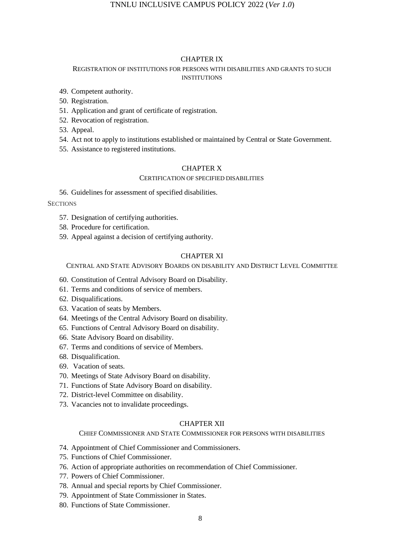#### CHAPTER IX

#### REGISTRATION OF INSTITUTIONS FOR PERSONS WITH DISABILITIES AND GRANTS TO SUCH **INSTITUTIONS**

- 49. Competent authority.
- 50. Registration.
- 51. Application and grant of certificate of registration.
- 52. Revocation of registration.
- 53. Appeal.
- 54. Act not to apply to institutions established or maintained by Central or State Government.
- 55. Assistance to registered institutions.

#### CHAPTER X

#### CERTIFICATION OF SPECIFIED DISABILITIES

56. Guidelines for assessment of specified disabilities.

#### **SECTIONS**

- 57. Designation of certifying authorities.
- 58. Procedure for certification.
- 59. Appeal against a decision of certifying authority.

#### CHAPTER XI

#### CENTRAL AND STATE ADVISORY BOARDS ON DISABILITY AND DISTRICT LEVEL COMMITTEE

- 60. Constitution of Central Advisory Board on Disability.
- 61. Terms and conditions of service of members.
- 62. Disqualifications.
- 63. Vacation of seats by Members.
- 64. Meetings of the Central Advisory Board on disability.
- 65. Functions of Central Advisory Board on disability.
- 66. State Advisory Board on disability.
- 67. Terms and conditions of service of Members.
- 68. Disqualification.
- 69. Vacation of seats.
- 70. Meetings of State Advisory Board on disability.
- 71. Functions of State Advisory Board on disability.
- 72. District-level Committee on disability.
- 73. Vacancies not to invalidate proceedings.

#### CHAPTER XII

#### CHIEF COMMISSIONER AND STATE COMMISSIONER FOR PERSONS WITH DISABILITIES

- 74. Appointment of Chief Commissioner and Commissioners.
- 75. Functions of Chief Commissioner.
- 76. Action of appropriate authorities on recommendation of Chief Commissioner.
- 77. Powers of Chief Commissioner.
- 78. Annual and special reports by Chief Commissioner.
- 79. Appointment of State Commissioner in States.
- 80. Functions of State Commissioner.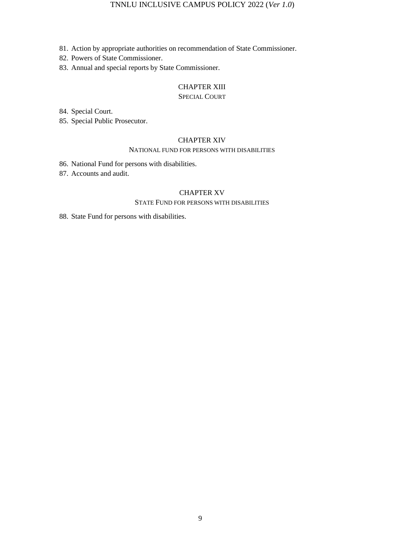- 81. Action by appropriate authorities on recommendation of State Commissioner.
- 82. Powers of State Commissioner.
- 83. Annual and special reports by State Commissioner.

#### CHAPTER XIII

#### SPECIAL COURT

84. Special Court.

85. Special Public Prosecutor.

#### CHAPTER XIV

#### NATIONAL FUND FOR PERSONS WITH DISABILITIES

86. National Fund for persons with disabilities.

87. Accounts and audit.

#### CHAPTER XV

#### STATE FUND FOR PERSONS WITH DISABILITIES

88. State Fund for persons with disabilities.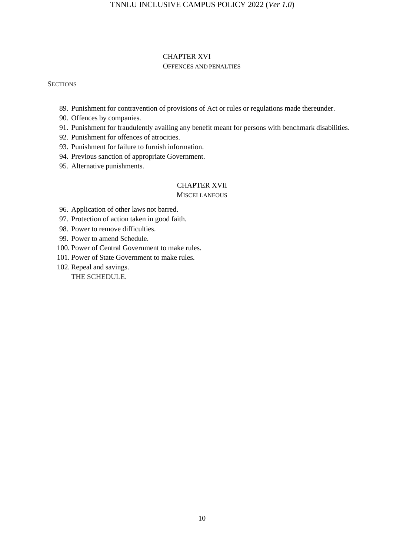#### CHAPTER XVI OFFENCES AND PENALTIES

#### **SECTIONS**

- 89. Punishment for contravention of provisions of Act or rules or regulations made thereunder.
- 90. Offences by companies.
- 91. Punishment for fraudulently availing any benefit meant for persons with benchmark disabilities.
- 92. Punishment for offences of atrocities.
- 93. Punishment for failure to furnish information.
- 94. Previous sanction of appropriate Government.
- 95. Alternative punishments.

#### CHAPTER XVII

#### **MISCELLANEOUS**

- 96. Application of other laws not barred.
- 97. Protection of action taken in good faith.
- 98. Power to remove difficulties.
- 99. Power to amend Schedule.
- 100. Power of Central Government to make rules.
- 101. Power of State Government to make rules.
- 102. Repeal and savings. THE SCHEDULE.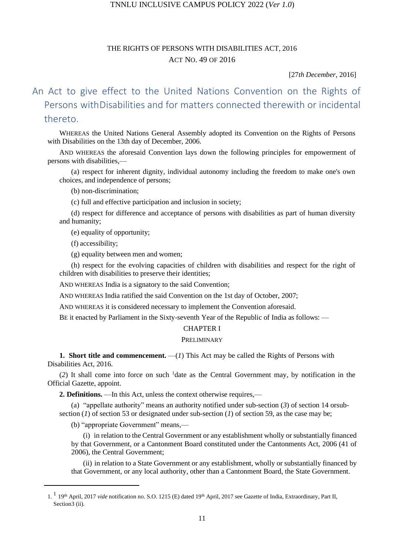## THE RIGHTS OF PERSONS WITH DISABILITIES ACT, 2016 ACT NO. 49 OF 2016

#### [27*th December*, 2016]

## An Act to give effect to the United Nations Convention on the Rights of Persons withDisabilities and for matters connected therewith or incidental thereto.

WHEREAS the United Nations General Assembly adopted its Convention on the Rights of Persons with Disabilities on the 13th day of December, 2006.

AND WHEREAS the aforesaid Convention lays down the following principles for empowerment of persons with disabilities,—

(a) respect for inherent dignity, individual autonomy including the freedom to make one's own choices, and independence of persons;

(b) non-discrimination;

(c) full and effective participation and inclusion in society;

(d) respect for difference and acceptance of persons with disabilities as part of human diversity and humanity;

(e) equality of opportunity;

(f) accessibility;

(g) equality between men and women;

(h) respect for the evolving capacities of children with disabilities and respect for the right of children with disabilities to preserve their identities;

AND WHEREAS India is a signatory to the said Convention;

AND WHEREAS India ratified the said Convention on the 1st day of October, 2007;

AND WHEREAS it is considered necessary to implement the Convention aforesaid.

BE it enacted by Parliament in the Sixty-seventh Year of the Republic of India as follows: —

#### CHAPTER I

#### PRELIMINARY

**1. Short title and commencement.** —(*1*) This Act may be called the Rights of Persons with Disabilities Act, 2016.

(*2*) It shall come into force on such <sup>1</sup>date as the Central Government may, by notification in the Official Gazette, appoint.

**2. Definitions.** —In this Act, unless the context otherwise requires,—

(a) "appellate authority" means an authority notified under sub-section (*3*) of section 14 orsubsection (*1*) of section 53 or designated under sub-section (*1*) of section 59, as the case may be;

(b) "appropriate Government" means,—

(i) in relation to the Central Government or any establishment wholly or substantially financed by that Government, or a Cantonment Board constituted under the Cantonments Act, 2006 (41 of 2006), the Central Government;

(ii) in relation to a State Government or any establishment, wholly or substantially financed by that Government, or any local authority, other than a Cantonment Board, the State Government.

<sup>1.&</sup>lt;sup>1</sup> 19<sup>th</sup> April, 2017 *vide* notification no. S.O. 1215 (E) dated 19<sup>th</sup> April, 2017 see Gazette of India, Extraordinary, Part II, Section<sub>3</sub> (ii).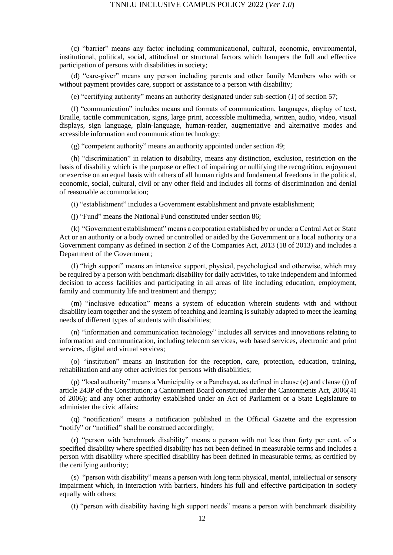(c) "barrier" means any factor including communicational, cultural, economic, environmental, institutional, political, social, attitudinal or structural factors which hampers the full and effective participation of persons with disabilities in society;

(d) "care-giver" means any person including parents and other family Members who with or without payment provides care, support or assistance to a person with disability;

(e) "certifying authority" means an authority designated under sub-section (*1*) of section 57;

(f) "communication" includes means and formats of communication, languages, display of text, Braille, tactile communication, signs, large print, accessible multimedia, written, audio, video, visual displays, sign language, plain-language, human-reader, augmentative and alternative modes and accessible information and communication technology;

(g) "competent authority" means an authority appointed under section 49;

(h) "discrimination" in relation to disability, means any distinction, exclusion, restriction on the basis of disability which is the purpose or effect of impairing or nullifying the recognition, enjoyment or exercise on an equal basis with others of all human rights and fundamental freedoms in the political, economic, social, cultural, civil or any other field and includes all forms of discrimination and denial of reasonable accommodation;

(i) "establishment" includes a Government establishment and private establishment;

(j) "Fund" means the National Fund constituted under section 86;

(k) "Government establishment" means a corporation established by or under a Central Act or State Act or an authority or a body owned or controlled or aided by the Government or a local authority or a Government company as defined in section 2 of the Companies Act, 2013 (18 of 2013) and includes a Department of the Government;

(l) "high support" means an intensive support, physical, psychological and otherwise, which may be required by a person with benchmark disability for daily activities, to take independent and informed decision to access facilities and participating in all areas of life including education, employment, family and community life and treatment and therapy;

(m) "inclusive education" means a system of education wherein students with and without disability learn together and the system of teaching and learning is suitably adapted to meet the learning needs of different types of students with disabilities;

(n) "information and communication technology" includes all services and innovations relating to information and communication, including telecom services, web based services, electronic and print services, digital and virtual services;

(o) "institution" means an institution for the reception, care, protection, education, training, rehabilitation and any other activities for persons with disabilities;

(p) "local authority" means a Municipality or a Panchayat, as defined in clause (*e*) and clause (*f*) of article 243P of the Constitution; a Cantonment Board constituted under the Cantonments Act, 2006(41 of 2006); and any other authority established under an Act of Parliament or a State Legislature to administer the civic affairs;

(q) "notification" means a notification published in the Official Gazette and the expression "notify" or "notified" shall be construed accordingly;

(r) "person with benchmark disability" means a person with not less than forty per cent. of a specified disability where specified disability has not been defined in measurable terms and includes a person with disability where specified disability has been defined in measurable terms, as certified by the certifying authority;

(s) "person with disability" means a person with long term physical, mental, intellectual or sensory impairment which, in interaction with barriers, hinders his full and effective participation in society equally with others;

(t) "person with disability having high support needs" means a person with benchmark disability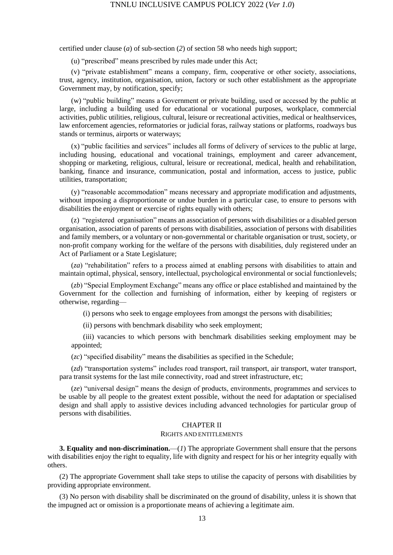certified under clause (*a*) of sub-section (*2*) of section 58 who needs high support;

(u) "prescribed" means prescribed by rules made under this Act;

(v) "private establishment" means a company, firm, cooperative or other society, associations, trust, agency, institution, organisation, union, factory or such other establishment as the appropriate Government may, by notification, specify;

(w) "public building" means a Government or private building, used or accessed by the public at large, including a building used for educational or vocational purposes, workplace, commercial activities, public utilities, religious, cultural, leisure or recreational activities, medical or healthservices, law enforcement agencies, reformatories or judicial foras, railway stations or platforms, roadways bus stands or terminus, airports or waterways;

(x) "public facilities and services" includes all forms of delivery of services to the public at large, including housing, educational and vocational trainings, employment and career advancement, shopping or marketing, religious, cultural, leisure or recreational, medical, health and rehabilitation, banking, finance and insurance, communication, postal and information, access to justice, public utilities, transportation;

(y) "reasonable accommodation" means necessary and appropriate modification and adjustments, without imposing a disproportionate or undue burden in a particular case, to ensure to persons with disabilities the enjoyment or exercise of rights equally with others;

(z) "registered organisation" means an association of persons with disabilities or a disabled person organisation, association of parents of persons with disabilities, association of persons with disabilities and family members, or a voluntary or non-governmental or charitable organisation or trust, society, or non-profit company working for the welfare of the persons with disabilities, duly registered under an Act of Parliament or a State Legislature;

(*za*) "rehabilitation" refers to a process aimed at enabling persons with disabilities to attain and maintain optimal, physical, sensory, intellectual, psychological environmental or social functionlevels;

(*zb*) "Special Employment Exchange" means any office or place established and maintained by the Government for the collection and furnishing of information, either by keeping of registers or otherwise, regarding—

(i) persons who seek to engage employees from amongst the persons with disabilities;

(ii) persons with benchmark disability who seek employment;

(iii) vacancies to which persons with benchmark disabilities seeking employment may be appointed;

(*zc*) "specified disability" means the disabilities as specified in the Schedule;

(*zd*) "transportation systems" includes road transport, rail transport, air transport, water transport, para transit systems for the last mile connectivity, road and street infrastructure, etc;

(*ze*) "universal design" means the design of products, environments, programmes and services to be usable by all people to the greatest extent possible, without the need for adaptation or specialised design and shall apply to assistive devices including advanced technologies for particular group of persons with disabilities.

#### CHAPTER II

#### RIGHTS AND ENTITLEMENTS

**3. Equality and non-discrimination.**—(*1*) The appropriate Government shall ensure that the persons with disabilities enjoy the right to equality, life with dignity and respect for his or her integrity equally with others.

(2) The appropriate Government shall take steps to utilise the capacity of persons with disabilities by providing appropriate environment.

(3) No person with disability shall be discriminated on the ground of disability, unless it is shown that the impugned act or omission is a proportionate means of achieving a legitimate aim.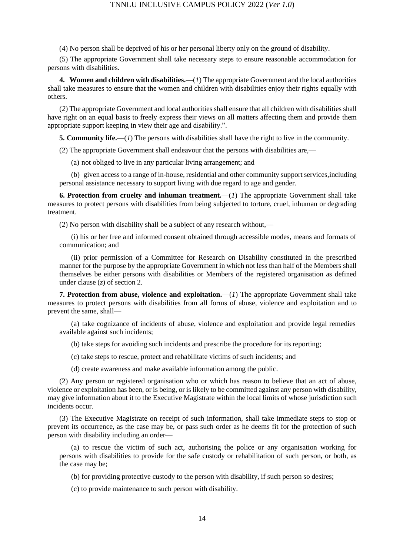(4) No person shall be deprived of his or her personal liberty only on the ground of disability.

(5) The appropriate Government shall take necessary steps to ensure reasonable accommodation for persons with disabilities.

**4. Women and children with disabilities.**—(*1*) The appropriate Government and the local authorities shall take measures to ensure that the women and children with disabilities enjoy their rights equally with others.

(*2*) The appropriate Government and local authorities shall ensure that all children with disabilities shall have right on an equal basis to freely express their views on all matters affecting them and provide them appropriate support keeping in view their age and disability.".

**5. Community life.**—(*1*) The persons with disabilities shall have the right to live in the community.

(2) The appropriate Government shall endeavour that the persons with disabilities are,—

(a) not obliged to live in any particular living arrangement; and

(b) given access to a range of in-house, residential and other community support services,including personal assistance necessary to support living with due regard to age and gender.

**6. Protection from cruelty and inhuman treatment.**—(*1*) The appropriate Government shall take measures to protect persons with disabilities from being subjected to torture, cruel, inhuman or degrading treatment.

(2) No person with disability shall be a subject of any research without,—

(i) his or her free and informed consent obtained through accessible modes, means and formats of communication; and

(ii) prior permission of a Committee for Research on Disability constituted in the prescribed manner for the purpose by the appropriate Government in which not less than half of the Members shall themselves be either persons with disabilities or Members of the registered organisation as defined under clause (*z*) of section 2.

**7. Protection from abuse, violence and exploitation.**—(*1*) The appropriate Government shall take measures to protect persons with disabilities from all forms of abuse, violence and exploitation and to prevent the same, shall—

(a) take cognizance of incidents of abuse, violence and exploitation and provide legal remedies available against such incidents;

(b) take steps for avoiding such incidents and prescribe the procedure for its reporting;

(c) take steps to rescue, protect and rehabilitate victims of such incidents; and

(d) create awareness and make available information among the public.

(2) Any person or registered organisation who or which has reason to believe that an act of abuse, violence or exploitation has been, or is being, or is likely to be committed against any person with disability, may give information about it to the Executive Magistrate within the local limits of whose jurisdiction such incidents occur.

(3) The Executive Magistrate on receipt of such information, shall take immediate steps to stop or prevent its occurrence, as the case may be, or pass such order as he deems fit for the protection of such person with disability including an order—

(a) to rescue the victim of such act, authorising the police or any organisation working for persons with disabilities to provide for the safe custody or rehabilitation of such person, or both, as the case may be;

(b) for providing protective custody to the person with disability, if such person so desires;

(c) to provide maintenance to such person with disability.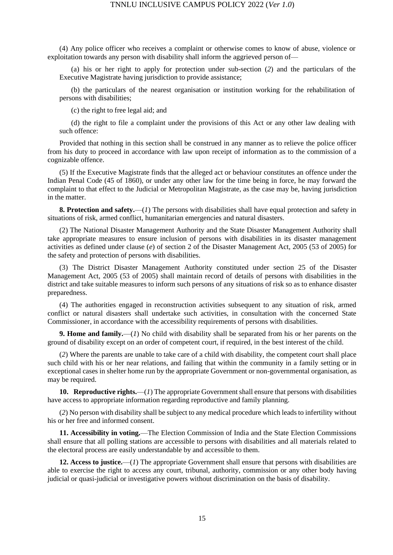(4) Any police officer who receives a complaint or otherwise comes to know of abuse, violence or exploitation towards any person with disability shall inform the aggrieved person of—

(a) his or her right to apply for protection under sub-section (*2*) and the particulars of the Executive Magistrate having jurisdiction to provide assistance;

(b) the particulars of the nearest organisation or institution working for the rehabilitation of persons with disabilities;

(c) the right to free legal aid; and

(d) the right to file a complaint under the provisions of this Act or any other law dealing with such offence:

Provided that nothing in this section shall be construed in any manner as to relieve the police officer from his duty to proceed in accordance with law upon receipt of information as to the commission of a cognizable offence.

(5) If the Executive Magistrate finds that the alleged act or behaviour constitutes an offence under the Indian Penal Code (45 of 1860), or under any other law for the time being in force, he may forward the complaint to that effect to the Judicial or Metropolitan Magistrate, as the case may be, having jurisdiction in the matter.

**8. Protection and safety.**—(*1*) The persons with disabilities shall have equal protection and safety in situations of risk, armed conflict, humanitarian emergencies and natural disasters.

(2) The National Disaster Management Authority and the State Disaster Management Authority shall take appropriate measures to ensure inclusion of persons with disabilities in its disaster management activities as defined under clause (*e*) of section 2 of the Disaster Management Act, 2005 (53 of 2005) for the safety and protection of persons with disabilities.

(3) The District Disaster Management Authority constituted under section 25 of the Disaster Management Act, 2005 (53 of 2005) shall maintain record of details of persons with disabilities in the district and take suitable measures to inform such persons of any situations of risk so as to enhance disaster preparedness.

(4) The authorities engaged in reconstruction activities subsequent to any situation of risk, armed conflict or natural disasters shall undertake such activities, in consultation with the concerned State Commissioner, in accordance with the accessibility requirements of persons with disabilities.

**9. Home and family.**—(*1*) No child with disability shall be separated from his or her parents on the ground of disability except on an order of competent court, if required, in the best interest of the child.

(*2*) Where the parents are unable to take care of a child with disability, the competent court shall place such child with his or her near relations, and failing that within the community in a family setting or in exceptional cases in shelter home run by the appropriate Government or non-governmental organisation, as may be required.

**10. Reproductive rights.**—(*1*) The appropriate Government shall ensure that persons with disabilities have access to appropriate information regarding reproductive and family planning.

(*2*) No person with disability shall be subject to any medical procedure which leads to infertility without his or her free and informed consent.

**11. Accessibility in voting.**—The Election Commission of India and the State Election Commissions shall ensure that all polling stations are accessible to persons with disabilities and all materials related to the electoral process are easily understandable by and accessible to them.

**12. Access to justice.**—(*1*) The appropriate Government shall ensure that persons with disabilities are able to exercise the right to access any court, tribunal, authority, commission or any other body having judicial or quasi-judicial or investigative powers without discrimination on the basis of disability.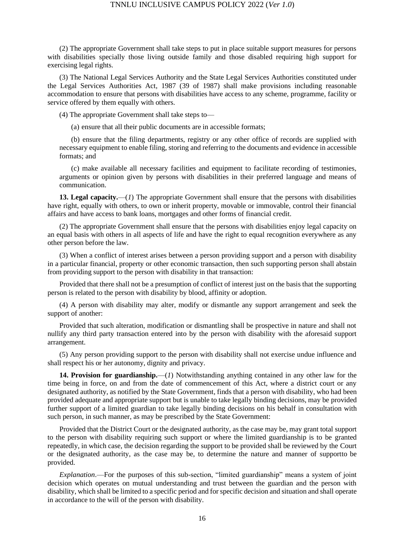(2) The appropriate Government shall take steps to put in place suitable support measures for persons with disabilities specially those living outside family and those disabled requiring high support for exercising legal rights.

(3) The National Legal Services Authority and the State Legal Services Authorities constituted under the Legal Services Authorities Act, 1987 (39 of 1987) shall make provisions including reasonable accommodation to ensure that persons with disabilities have access to any scheme, programme, facility or service offered by them equally with others.

(4) The appropriate Government shall take steps to—

(a) ensure that all their public documents are in accessible formats;

(b) ensure that the filing departments, registry or any other office of records are supplied with necessary equipment to enable filing, storing and referring to the documents and evidence in accessible formats; and

(c) make available all necessary facilities and equipment to facilitate recording of testimonies, arguments or opinion given by persons with disabilities in their preferred language and means of communication.

**13. Legal capacity.**—(*1*) The appropriate Government shall ensure that the persons with disabilities have right, equally with others, to own or inherit property, movable or immovable, control their financial affairs and have access to bank loans, mortgages and other forms of financial credit.

(2) The appropriate Government shall ensure that the persons with disabilities enjoy legal capacity on an equal basis with others in all aspects of life and have the right to equal recognition everywhere as any other person before the law.

(3) When a conflict of interest arises between a person providing support and a person with disability in a particular financial, property or other economic transaction, then such supporting person shall abstain from providing support to the person with disability in that transaction:

Provided that there shall not be a presumption of conflict of interest just on the basis that the supporting person is related to the person with disability by blood, affinity or adoption.

(4) A person with disability may alter, modify or dismantle any support arrangement and seek the support of another:

Provided that such alteration, modification or dismantling shall be prospective in nature and shall not nullify any third party transaction entered into by the person with disability with the aforesaid support arrangement.

(5) Any person providing support to the person with disability shall not exercise undue influence and shall respect his or her autonomy, dignity and privacy.

**14. Provision for guardianship.**—(*1*) Notwithstanding anything contained in any other law for the time being in force, on and from the date of commencement of this Act, where a district court or any designated authority, as notified by the State Government, finds that a person with disability, who had been provided adequate and appropriate support but is unable to take legally binding decisions, may be provided further support of a limited guardian to take legally binding decisions on his behalf in consultation with such person, in such manner, as may be prescribed by the State Government:

Provided that the District Court or the designated authority, as the case may be, may grant total support to the person with disability requiring such support or where the limited guardianship is to be granted repeatedly, in which case, the decision regarding the support to be provided shall be reviewed by the Court or the designated authority, as the case may be, to determine the nature and manner of supportto be provided.

*Explanation*.—For the purposes of this sub-section, "limited guardianship" means a system of joint decision which operates on mutual understanding and trust between the guardian and the person with disability, which shall be limited to a specific period and for specific decision and situation and shall operate in accordance to the will of the person with disability.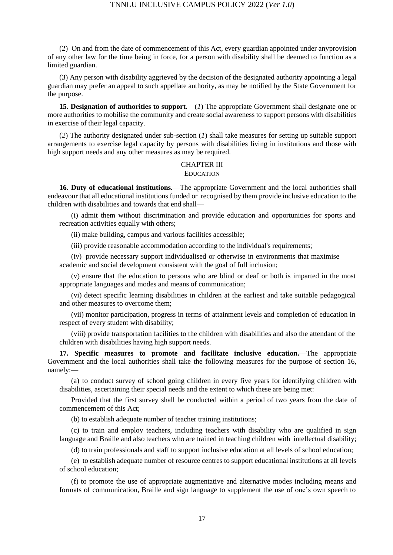(2) On and from the date of commencement of this Act, every guardian appointed under anyprovision of any other law for the time being in force, for a person with disability shall be deemed to function as a limited guardian.

(3) Any person with disability aggrieved by the decision of the designated authority appointing a legal guardian may prefer an appeal to such appellate authority, as may be notified by the State Government for the purpose.

**15. Designation of authorities to support.**—(*1*) The appropriate Government shall designate one or more authorities to mobilise the community and create social awareness to support persons with disabilities in exercise of their legal capacity.

(*2*) The authority designated under sub-section (*1*) shall take measures for setting up suitable support arrangements to exercise legal capacity by persons with disabilities living in institutions and those with high support needs and any other measures as may be required.

#### CHAPTER III

#### EDUCATION

**16. Duty of educational institutions.**—The appropriate Government and the local authorities shall endeavour that all educational institutions funded or recognised by them provide inclusive education to the children with disabilities and towards that end shall—

(i) admit them without discrimination and provide education and opportunities for sports and recreation activities equally with others;

(ii) make building, campus and various facilities accessible;

(iii) provide reasonable accommodation according to the individual's requirements;

(iv) provide necessary support individualised or otherwise in environments that maximise academic and social development consistent with the goal of full inclusion;

(v) ensure that the education to persons who are blind or deaf or both is imparted in the most appropriate languages and modes and means of communication;

(vi) detect specific learning disabilities in children at the earliest and take suitable pedagogical and other measures to overcome them;

(vii) monitor participation, progress in terms of attainment levels and completion of education in respect of every student with disability;

(viii) provide transportation facilities to the children with disabilities and also the attendant of the children with disabilities having high support needs.

**17. Specific measures to promote and facilitate inclusive education.**—The appropriate Government and the local authorities shall take the following measures for the purpose of section 16, namely:—

(a) to conduct survey of school going children in every five years for identifying children with disabilities, ascertaining their special needs and the extent to which these are being met:

Provided that the first survey shall be conducted within a period of two years from the date of commencement of this Act;

(b) to establish adequate number of teacher training institutions;

(c) to train and employ teachers, including teachers with disability who are qualified in sign language and Braille and also teachers who are trained in teaching children with intellectual disability;

(d) to train professionals and staff to support inclusive education at all levels of school education;

(e) to establish adequate number of resource centres to support educational institutions at all levels of school education;

(f) to promote the use of appropriate augmentative and alternative modes including means and formats of communication, Braille and sign language to supplement the use of one's own speech to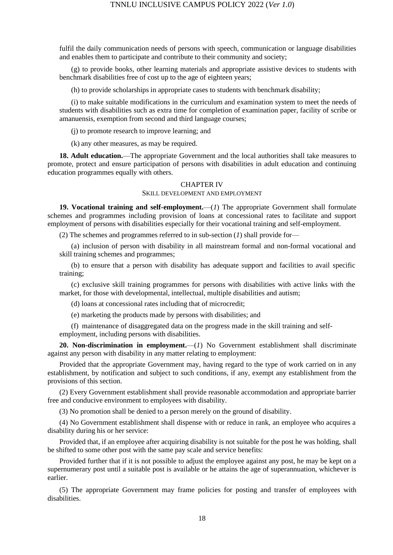fulfil the daily communication needs of persons with speech, communication or language disabilities and enables them to participate and contribute to their community and society;

(g) to provide books, other learning materials and appropriate assistive devices to students with benchmark disabilities free of cost up to the age of eighteen years;

(h) to provide scholarships in appropriate cases to students with benchmark disability;

(i) to make suitable modifications in the curriculum and examination system to meet the needs of students with disabilities such as extra time for completion of examination paper, facility of scribe or amanuensis, exemption from second and third language courses;

(j) to promote research to improve learning; and

(k) any other measures, as may be required.

**18. Adult education.**—The appropriate Government and the local authorities shall take measures to promote, protect and ensure participation of persons with disabilities in adult education and continuing education programmes equally with others.

#### CHAPTER IV

#### SKILL DEVELOPMENT AND EMPLOYMENT

**19. Vocational training and self-employment.**—(*1*) The appropriate Government shall formulate schemes and programmes including provision of loans at concessional rates to facilitate and support employment of persons with disabilities especially for their vocational training and self-employment.

(2) The schemes and programmes referred to in sub-section (*1*) shall provide for—

(a) inclusion of person with disability in all mainstream formal and non-formal vocational and skill training schemes and programmes;

(b) to ensure that a person with disability has adequate support and facilities to avail specific training;

(c) exclusive skill training programmes for persons with disabilities with active links with the market, for those with developmental, intellectual, multiple disabilities and autism;

(d) loans at concessional rates including that of microcredit;

(e) marketing the products made by persons with disabilities; and

(f) maintenance of disaggregated data on the progress made in the skill training and selfemployment, including persons with disabilities.

**20. Non-discrimination in employment.**—(*1*) No Government establishment shall discriminate against any person with disability in any matter relating to employment:

Provided that the appropriate Government may, having regard to the type of work carried on in any establishment, by notification and subject to such conditions, if any, exempt any establishment from the provisions of this section.

(2) Every Government establishment shall provide reasonable accommodation and appropriate barrier free and conducive environment to employees with disability.

(3) No promotion shall be denied to a person merely on the ground of disability.

(4) No Government establishment shall dispense with or reduce in rank, an employee who acquires a disability during his or her service:

Provided that, if an employee after acquiring disability is not suitable for the post he was holding, shall be shifted to some other post with the same pay scale and service benefits:

Provided further that if it is not possible to adjust the employee against any post, he may be kept on a supernumerary post until a suitable post is available or he attains the age of superannuation, whichever is earlier.

(5) The appropriate Government may frame policies for posting and transfer of employees with disabilities.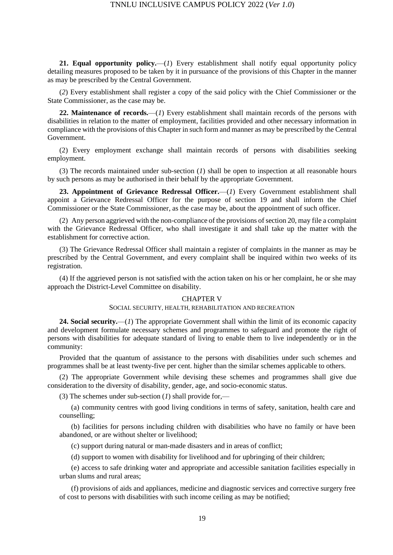**21. Equal opportunity policy.**—(*1*) Every establishment shall notify equal opportunity policy detailing measures proposed to be taken by it in pursuance of the provisions of this Chapter in the manner as may be prescribed by the Central Government.

(*2*) Every establishment shall register a copy of the said policy with the Chief Commissioner or the State Commissioner, as the case may be.

**22. Maintenance of records.**—(*1*) Every establishment shall maintain records of the persons with disabilities in relation to the matter of employment, facilities provided and other necessary information in compliance with the provisions of this Chapter in such form and manner as may be prescribed by the Central Government.

(2) Every employment exchange shall maintain records of persons with disabilities seeking employment.

(3) The records maintained under sub-section (*1*) shall be open to inspection at all reasonable hours by such persons as may be authorised in their behalf by the appropriate Government.

**23. Appointment of Grievance Redressal Officer.**—(*1*) Every Government establishment shall appoint a Grievance Redressal Officer for the purpose of section 19 and shall inform the Chief Commissioner or the State Commissioner, as the case may be, about the appointment of such officer.

(2) Any person aggrieved with the non-compliance of the provisions of section 20, may file a complaint with the Grievance Redressal Officer, who shall investigate it and shall take up the matter with the establishment for corrective action.

(3) The Grievance Redressal Officer shall maintain a register of complaints in the manner as may be prescribed by the Central Government, and every complaint shall be inquired within two weeks of its registration.

(4) If the aggrieved person is not satisfied with the action taken on his or her complaint, he or she may approach the District-Level Committee on disability.

#### CHAPTER V

#### SOCIAL SECURITY, HEALTH, REHABILITATION AND RECREATION

**24. Social security.**—(*1*) The appropriate Government shall within the limit of its economic capacity and development formulate necessary schemes and programmes to safeguard and promote the right of persons with disabilities for adequate standard of living to enable them to live independently or in the community:

Provided that the quantum of assistance to the persons with disabilities under such schemes and programmes shall be at least twenty-five per cent. higher than the similar schemes applicable to others.

(2) The appropriate Government while devising these schemes and programmes shall give due consideration to the diversity of disability, gender, age, and socio-economic status.

(3) The schemes under sub-section (*1*) shall provide for,—

(a) community centres with good living conditions in terms of safety, sanitation, health care and counselling;

(b) facilities for persons including children with disabilities who have no family or have been abandoned, or are without shelter or livelihood;

(c) support during natural or man-made disasters and in areas of conflict;

(d) support to women with disability for livelihood and for upbringing of their children;

(e) access to safe drinking water and appropriate and accessible sanitation facilities especially in urban slums and rural areas;

(f) provisions of aids and appliances, medicine and diagnostic services and corrective surgery free of cost to persons with disabilities with such income ceiling as may be notified;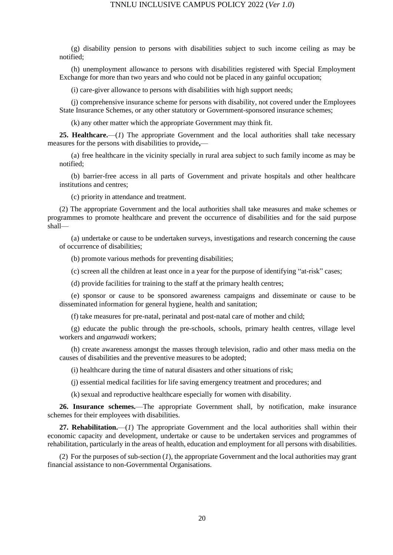(g) disability pension to persons with disabilities subject to such income ceiling as may be notified;

(h) unemployment allowance to persons with disabilities registered with Special Employment Exchange for more than two years and who could not be placed in any gainful occupation;

(i) care-giver allowance to persons with disabilities with high support needs;

(j) comprehensive insurance scheme for persons with disability, not covered under the Employees State Insurance Schemes, or any other statutory or Government-sponsored insurance schemes;

(k) any other matter which the appropriate Government may think fit.

**25. Healthcare.**—(*1*) The appropriate Government and the local authorities shall take necessary measures for the persons with disabilities to provide**,**—

(a) free healthcare in the vicinity specially in rural area subject to such family income as may be notified;

(b) barrier-free access in all parts of Government and private hospitals and other healthcare institutions and centres;

(c) priority in attendance and treatment.

(2) The appropriate Government and the local authorities shall take measures and make schemes or programmes to promote healthcare and prevent the occurrence of disabilities and for the said purpose shall—

(a) undertake or cause to be undertaken surveys, investigations and research concerning the cause of occurrence of disabilities;

(b) promote various methods for preventing disabilities;

(c) screen all the children at least once in a year for the purpose of identifying "at-risk" cases;

(d) provide facilities for training to the staff at the primary health centres;

(e) sponsor or cause to be sponsored awareness campaigns and disseminate or cause to be disseminated information for general hygiene, health and sanitation;

(f) take measures for pre-natal, perinatal and post-natal care of mother and child;

(g) educate the public through the pre-schools, schools, primary health centres, village level workers and *anganwadi* workers;

(h) create awareness amongst the masses through television, radio and other mass media on the causes of disabilities and the preventive measures to be adopted;

(i) healthcare during the time of natural disasters and other situations of risk;

(j) essential medical facilities for life saving emergency treatment and procedures; and

(k) sexual and reproductive healthcare especially for women with disability.

**26. Insurance schemes.**—The appropriate Government shall, by notification, make insurance schemes for their employees with disabilities.

**27. Rehabilitation.**—(*1*) The appropriate Government and the local authorities shall within their economic capacity and development, undertake or cause to be undertaken services and programmes of rehabilitation, particularly in the areas of health, education and employment for all persons with disabilities.

(2) For the purposes of sub-section (*1*), the appropriate Government and the local authorities may grant financial assistance to non-Governmental Organisations.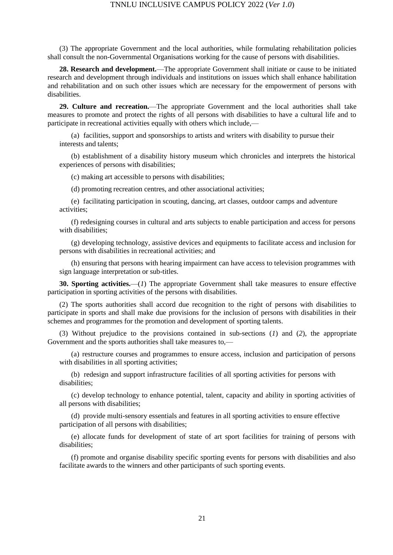(3) The appropriate Government and the local authorities, while formulating rehabilitation policies shall consult the non-Governmental Organisations working for the cause of persons with disabilities.

**28. Research and development.**—The appropriate Government shall initiate or cause to be initiated research and development through individuals and institutions on issues which shall enhance habilitation and rehabilitation and on such other issues which are necessary for the empowerment of persons with disabilities.

**29. Culture and recreation.**—The appropriate Government and the local authorities shall take measures to promote and protect the rights of all persons with disabilities to have a cultural life and to participate in recreational activities equally with others which include,—

(a) facilities, support and sponsorships to artists and writers with disability to pursue their interests and talents;

(b) establishment of a disability history museum which chronicles and interprets the historical experiences of persons with disabilities;

(c) making art accessible to persons with disabilities;

(d) promoting recreation centres, and other associational activities;

(e) facilitating participation in scouting, dancing, art classes, outdoor camps and adventure activities;

(f) redesigning courses in cultural and arts subjects to enable participation and access for persons with disabilities;

(g) developing technology, assistive devices and equipments to facilitate access and inclusion for persons with disabilities in recreational activities; and

(h) ensuring that persons with hearing impairment can have access to television programmes with sign language interpretation or sub-titles.

**30. Sporting activities.**—(*1*) The appropriate Government shall take measures to ensure effective participation in sporting activities of the persons with disabilities.

(2) The sports authorities shall accord due recognition to the right of persons with disabilities to participate in sports and shall make due provisions for the inclusion of persons with disabilities in their schemes and programmes for the promotion and development of sporting talents.

(3) Without prejudice to the provisions contained in sub-sections (*1*) and (*2*), the appropriate Government and the sports authorities shall take measures to,—

(a) restructure courses and programmes to ensure access, inclusion and participation of persons with disabilities in all sporting activities;

(b) redesign and support infrastructure facilities of all sporting activities for persons with disabilities;

(c) develop technology to enhance potential, talent, capacity and ability in sporting activities of all persons with disabilities;

(d) provide multi-sensory essentials and features in all sporting activities to ensure effective participation of all persons with disabilities;

(e) allocate funds for development of state of art sport facilities for training of persons with disabilities;

(f) promote and organise disability specific sporting events for persons with disabilities and also facilitate awards to the winners and other participants of such sporting events.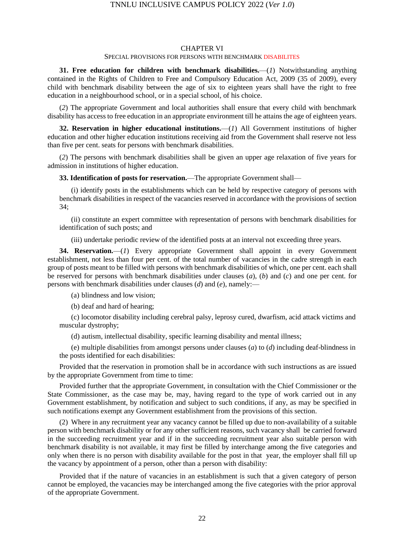#### CHAPTER VI

#### SPECIAL PROVISIONS FOR PERSONS WITH BENCHMARK DISABILITES

**31. Free education for children with benchmark disabilities.**—(*1*) Notwithstanding anything contained in the Rights of Children to Free and Compulsory Education Act, 2009 (35 of 2009), every child with benchmark disability between the age of six to eighteen years shall have the right to free education in a neighbourhood school, or in a special school, of his choice.

(*2*) The appropriate Government and local authorities shall ensure that every child with benchmark disability has access to free education in an appropriate environment till he attains the age of eighteen years.

**32. Reservation in higher educational institutions.**—(*1*) All Government institutions of higher education and other higher education institutions receiving aid from the Government shall reserve not less than five per cent. seats for persons with benchmark disabilities.

(*2*) The persons with benchmark disabilities shall be given an upper age relaxation of five years for admission in institutions of higher education.

**33. Identification of posts for reservation.**—The appropriate Government shall—

(i) identify posts in the establishments which can be held by respective category of persons with benchmark disabilities in respect of the vacancies reserved in accordance with the provisions of section 34;

(ii) constitute an expert committee with representation of persons with benchmark disabilities for identification of such posts; and

(iii) undertake periodic review of the identified posts at an interval not exceeding three years.

**34. Reservation.**—(*1*) Every appropriate Government shall appoint in every Government establishment, not less than four per cent. of the total number of vacancies in the cadre strength in each group of posts meant to be filled with persons with benchmark disabilities of which, one per cent. each shall be reserved for persons with benchmark disabilities under clauses (*a*), (*b*) and (*c*) and one per cent. for persons with benchmark disabilities under clauses (*d*) and (*e*), namely:—

(a) blindness and low vision;

(b) deaf and hard of hearing;

(c) locomotor disability including cerebral palsy, leprosy cured, dwarfism, acid attack victims and muscular dystrophy;

(d) autism, intellectual disability, specific learning disability and mental illness;

(e) multiple disabilities from amongst persons under clauses (*a*) to (*d*) including deaf-blindness in the posts identified for each disabilities:

Provided that the reservation in promotion shall be in accordance with such instructions as are issued by the appropriate Government from time to time:

Provided further that the appropriate Government, in consultation with the Chief Commissioner or the State Commissioner, as the case may be, may, having regard to the type of work carried out in any Government establishment, by notification and subject to such conditions, if any, as may be specified in such notifications exempt any Government establishment from the provisions of this section.

(2) Where in any recruitment year any vacancy cannot be filled up due to non-availability of a suitable person with benchmark disability or for any other sufficient reasons, such vacancy shall be carried forward in the succeeding recruitment year and if in the succeeding recruitment year also suitable person with benchmark disability is not available, it may first be filled by interchange among the five categories and only when there is no person with disability available for the post in that year, the employer shall fill up the vacancy by appointment of a person, other than a person with disability:

Provided that if the nature of vacancies in an establishment is such that a given category of person cannot be employed, the vacancies may be interchanged among the five categories with the prior approval of the appropriate Government.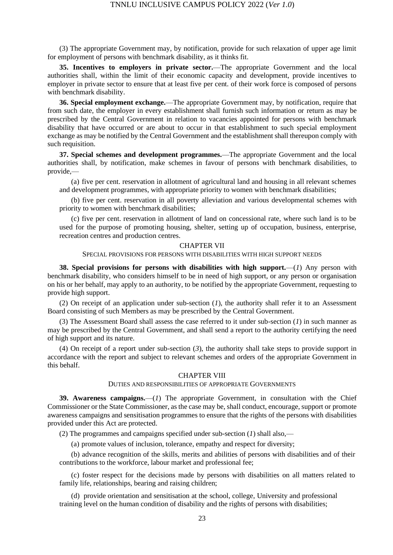(3) The appropriate Government may, by notification, provide for such relaxation of upper age limit for employment of persons with benchmark disability, as it thinks fit.

**35. Incentives to employers in private sector.**—The appropriate Government and the local authorities shall, within the limit of their economic capacity and development, provide incentives to employer in private sector to ensure that at least five per cent. of their work force is composed of persons with benchmark disability.

**36. Special employment exchange.**—The appropriate Government may, by notification, require that from such date, the employer in every establishment shall furnish such information or return as may be prescribed by the Central Government in relation to vacancies appointed for persons with benchmark disability that have occurred or are about to occur in that establishment to such special employment exchange as may be notified by the Central Government and the establishment shall thereupon comply with such requisition.

**37. Special schemes and development programmes.**—The appropriate Government and the local authorities shall, by notification, make schemes in favour of persons with benchmark disabilities, to provide,—

(a) five per cent. reservation in allotment of agricultural land and housing in all relevant schemes and development programmes, with appropriate priority to women with benchmark disabilities;

(b) five per cent. reservation in all poverty alleviation and various developmental schemes with priority to women with benchmark disabilities;

(c) five per cent. reservation in allotment of land on concessional rate, where such land is to be used for the purpose of promoting housing, shelter, setting up of occupation, business, enterprise, recreation centres and production centres.

#### CHAPTER VII

#### SPECIAL PROVISIONS FOR PERSONS WITH DISABILITIES WITH HIGH SUPPORT NEEDS

**38. Special provisions for persons with disabilities with high support.**—(*1*) Any person with benchmark disability, who considers himself to be in need of high support, or any person or organisation on his or her behalf, may apply to an authority, to be notified by the appropriate Government, requesting to provide high support.

(2) On receipt of an application under sub-section (*1*), the authority shall refer it to an Assessment Board consisting of such Members as may be prescribed by the Central Government.

(3) The Assessment Board shall assess the case referred to it under sub-section (*1*) in such manner as may be prescribed by the Central Government, and shall send a report to the authority certifying the need of high support and its nature.

(4) On receipt of a report under sub-section (*3*), the authority shall take steps to provide support in accordance with the report and subject to relevant schemes and orders of the appropriate Government in this behalf.

#### CHAPTER VIII

#### DUTIES AND RESPONSIBILITIES OF APPROPRIATE GOVERNMENTS

**39. Awareness campaigns.**—(*1*) The appropriate Government, in consultation with the Chief Commissioner or the State Commissioner, as the case may be, shall conduct, encourage, support or promote awareness campaigns and sensitisation programmes to ensure that the rights of the persons with disabilities provided under this Act are protected.

(2) The programmes and campaigns specified under sub-section (*1*) shall also,—

(a) promote values of inclusion, tolerance, empathy and respect for diversity;

(b) advance recognition of the skills, merits and abilities of persons with disabilities and of their contributions to the workforce, labour market and professional fee;

(c) foster respect for the decisions made by persons with disabilities on all matters related to family life, relationships, bearing and raising children;

(d) provide orientation and sensitisation at the school, college, University and professional training level on the human condition of disability and the rights of persons with disabilities;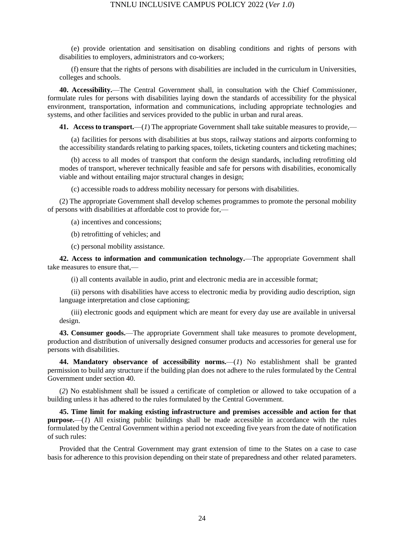(e) provide orientation and sensitisation on disabling conditions and rights of persons with disabilities to employers, administrators and co-workers;

(f) ensure that the rights of persons with disabilities are included in the curriculum in Universities, colleges and schools.

**40. Accessibility.**—The Central Government shall, in consultation with the Chief Commissioner, formulate rules for persons with disabilities laying down the standards of accessibility for the physical environment, transportation, information and communications, including appropriate technologies and systems, and other facilities and services provided to the public in urban and rural areas.

**41. Access to transport.**—(*1*) The appropriate Government shall take suitable measures to provide,—

(a) facilities for persons with disabilities at bus stops, railway stations and airports conforming to the accessibility standards relating to parking spaces, toilets, ticketing counters and ticketing machines;

(b) access to all modes of transport that conform the design standards, including retrofitting old modes of transport, wherever technically feasible and safe for persons with disabilities, economically viable and without entailing major structural changes in design;

(c) accessible roads to address mobility necessary for persons with disabilities.

(2) The appropriate Government shall develop schemes programmes to promote the personal mobility of persons with disabilities at affordable cost to provide for,—

(a) incentives and concessions;

(b) retrofitting of vehicles; and

(c) personal mobility assistance.

**42. Access to information and communication technology.**—The appropriate Government shall take measures to ensure that,—

(i) all contents available in audio, print and electronic media are in accessible format;

(ii) persons with disabilities have access to electronic media by providing audio description, sign language interpretation and close captioning;

(iii) electronic goods and equipment which are meant for every day use are available in universal design.

**43. Consumer goods.**—The appropriate Government shall take measures to promote development, production and distribution of universally designed consumer products and accessories for general use for persons with disabilities.

**44. Mandatory observance of accessibility norms.**—(*1*) No establishment shall be granted permission to build any structure if the building plan does not adhere to the rules formulated by the Central Government under section 40.

(*2*) No establishment shall be issued a certificate of completion or allowed to take occupation of a building unless it has adhered to the rules formulated by the Central Government.

**45. Time limit for making existing infrastructure and premises accessible and action for that purpose.**—(*1*) All existing public buildings shall be made accessible in accordance with the rules formulated by the Central Government within a period not exceeding five years from the date of notification of such rules:

Provided that the Central Government may grant extension of time to the States on a case to case basis for adherence to this provision depending on their state of preparedness and other related parameters.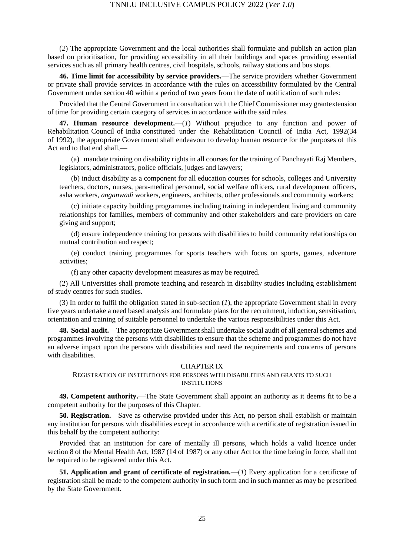(*2*) The appropriate Government and the local authorities shall formulate and publish an action plan based on prioritisation, for providing accessibility in all their buildings and spaces providing essential services such as all primary health centres, civil hospitals, schools, railway stations and bus stops.

**46. Time limit for accessibility by service providers.**—The service providers whether Government or private shall provide services in accordance with the rules on accessibility formulated by the Central Government under section 40 within a period of two years from the date of notification of such rules:

Provided that the Central Government in consultation with the Chief Commissioner may grantextension of time for providing certain category of services in accordance with the said rules.

**47. Human resource development.**—(*1*) Without prejudice to any function and power of Rehabilitation Council of India constituted under the Rehabilitation Council of India Act, 1992(34 of 1992), the appropriate Government shall endeavour to develop human resource for the purposes of this Act and to that end shall,—

(a) mandate training on disability rights in all courses for the training of Panchayati Raj Members, legislators, administrators, police officials, judges and lawyers;

(b) induct disability as a component for all education courses for schools, colleges and University teachers, doctors, nurses, para-medical personnel, social welfare officers, rural development officers, asha workers, *anganwadi* workers, engineers, architects, other professionals and community workers;

(c) initiate capacity building programmes including training in independent living and community relationships for families, members of community and other stakeholders and care providers on care giving and support;

(d) ensure independence training for persons with disabilities to build community relationships on mutual contribution and respect;

(e) conduct training programmes for sports teachers with focus on sports, games, adventure activities;

(f) any other capacity development measures as may be required.

(2) All Universities shall promote teaching and research in disability studies including establishment of study centres for such studies.

(3) In order to fulfil the obligation stated in sub-section (*1*), the appropriate Government shall in every five years undertake a need based analysis and formulate plans for the recruitment, induction, sensitisation, orientation and training of suitable personnel to undertake the various responsibilities under this Act.

**48. Social audit.**—The appropriate Government shall undertake social audit of all general schemes and programmes involving the persons with disabilities to ensure that the scheme and programmes do not have an adverse impact upon the persons with disabilities and need the requirements and concerns of persons with disabilities.

#### CHAPTER IX

#### REGISTRATION OF INSTITUTIONS FOR PERSONS WITH DISABILITIES AND GRANTS TO SUCH INSTITUTIONS

**49. Competent authority.**—The State Government shall appoint an authority as it deems fit to be a competent authority for the purposes of this Chapter.

**50. Registration.**—Save as otherwise provided under this Act, no person shall establish or maintain any institution for persons with disabilities except in accordance with a certificate of registration issued in this behalf by the competent authority:

Provided that an institution for care of mentally ill persons, which holds a valid licence under section 8 of the Mental Health Act, 1987 (14 of 1987) or any other Act for the time being in force, shall not be required to be registered under this Act.

**51. Application and grant of certificate of registration.**—(*1*) Every application for a certificate of registration shall be made to the competent authority in such form and in such manner as may be prescribed by the State Government.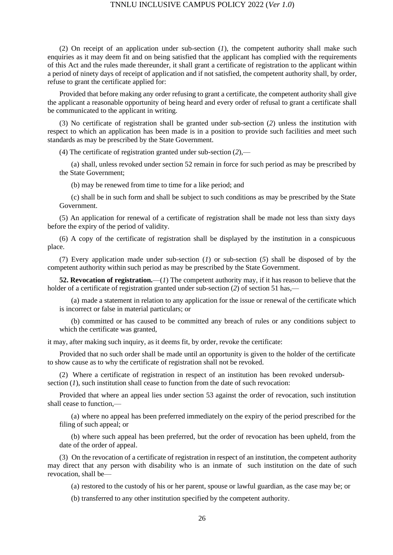(2) On receipt of an application under sub-section (*1*), the competent authority shall make such enquiries as it may deem fit and on being satisfied that the applicant has complied with the requirements of this Act and the rules made thereunder, it shall grant a certificate of registration to the applicant within a period of ninety days of receipt of application and if not satisfied, the competent authority shall, by order, refuse to grant the certificate applied for:

Provided that before making any order refusing to grant a certificate, the competent authority shall give the applicant a reasonable opportunity of being heard and every order of refusal to grant a certificate shall be communicated to the applicant in writing.

(3) No certificate of registration shall be granted under sub-section (*2*) unless the institution with respect to which an application has been made is in a position to provide such facilities and meet such standards as may be prescribed by the State Government.

(4) The certificate of registration granted under sub-section (*2*),—

(a) shall, unless revoked under section 52 remain in force for such period as may be prescribed by the State Government;

(b) may be renewed from time to time for a like period; and

(c) shall be in such form and shall be subject to such conditions as may be prescribed by the State Government.

(5) An application for renewal of a certificate of registration shall be made not less than sixty days before the expiry of the period of validity.

(6) A copy of the certificate of registration shall be displayed by the institution in a conspicuous place.

(7) Every application made under sub-section (*1*) or sub-section (*5*) shall be disposed of by the competent authority within such period as may be prescribed by the State Government.

**52. Revocation of registration.**—(*1*) The competent authority may, if it has reason to believe that the holder of a certificate of registration granted under sub-section (2) of section 51 has,—

(a) made a statement in relation to any application for the issue or renewal of the certificate which is incorrect or false in material particulars; or

(b) committed or has caused to be committed any breach of rules or any conditions subject to which the certificate was granted,

it may, after making such inquiry, as it deems fit, by order, revoke the certificate:

Provided that no such order shall be made until an opportunity is given to the holder of the certificate to show cause as to why the certificate of registration shall not be revoked.

(2) Where a certificate of registration in respect of an institution has been revoked undersubsection (*1*), such institution shall cease to function from the date of such revocation:

Provided that where an appeal lies under section 53 against the order of revocation, such institution shall cease to function,—

(a) where no appeal has been preferred immediately on the expiry of the period prescribed for the filing of such appeal; or

(b) where such appeal has been preferred, but the order of revocation has been upheld, from the date of the order of appeal.

(3) On the revocation of a certificate of registration in respect of an institution, the competent authority may direct that any person with disability who is an inmate of such institution on the date of such revocation, shall be—

(a) restored to the custody of his or her parent, spouse or lawful guardian, as the case may be; or

(b) transferred to any other institution specified by the competent authority.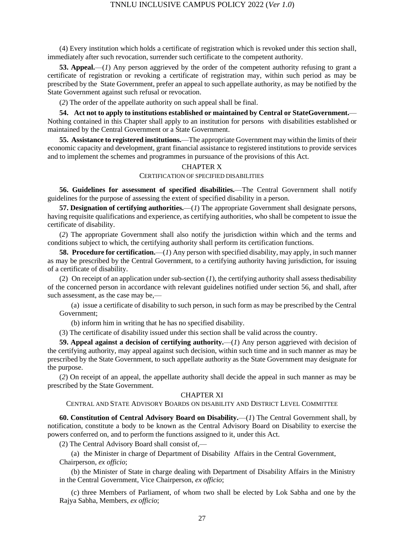(4) Every institution which holds a certificate of registration which is revoked under this section shall, immediately after such revocation, surrender such certificate to the competent authority.

**53. Appeal.**—(*1*) Any person aggrieved by the order of the competent authority refusing to grant a certificate of registration or revoking a certificate of registration may, within such period as may be prescribed by the State Government, prefer an appeal to such appellate authority, as may be notified by the State Government against such refusal or revocation.

(*2*) The order of the appellate authority on such appeal shall be final.

**54. Act not to apply to institutions established or maintained by Central or StateGovernment.**— Nothing contained in this Chapter shall apply to an institution for persons with disabilities established or maintained by the Central Government or a State Government.

**55. Assistance to registered institutions.**—The appropriate Government may within the limits of their economic capacity and development, grant financial assistance to registered institutions to provide services and to implement the schemes and programmes in pursuance of the provisions of this Act.

#### CHAPTER X

#### CERTIFICATION OF SPECIFIED DISABILITIES

**56. Guidelines for assessment of specified disabilities.**—The Central Government shall notify guidelines for the purpose of assessing the extent of specified disability in a person.

**57. Designation of certifying authorities.**—(*1*) The appropriate Government shall designate persons, having requisite qualifications and experience, as certifying authorities, who shall be competent to issue the certificate of disability.

(*2*) The appropriate Government shall also notify the jurisdiction within which and the terms and conditions subject to which, the certifying authority shall perform its certification functions.

**58. Procedure for certification.**—(*1*) Any person with specified disability, may apply, in such manner as may be prescribed by the Central Government, to a certifying authority having jurisdiction, for issuing of a certificate of disability.

(2) On receipt of an application under sub-section (*1*), the certifying authority shall assess thedisability of the concerned person in accordance with relevant guidelines notified under section 56, and shall, after such assessment, as the case may be,—

(a) issue a certificate of disability to such person, in such form as may be prescribed by the Central Government;

(b) inform him in writing that he has no specified disability.

(3) The certificate of disability issued under this section shall be valid across the country.

**59. Appeal against a decision of certifying authority.**—(*1*) Any person aggrieved with decision of the certifying authority, may appeal against such decision, within such time and in such manner as may be prescribed by the State Government, to such appellate authority as the State Government may designate for the purpose.

(*2*) On receipt of an appeal, the appellate authority shall decide the appeal in such manner as may be prescribed by the State Government.

#### CHAPTER XI

CENTRAL AND STATE ADVISORY BOARDS ON DISABILITY AND DISTRICT LEVEL COMMITTEE

**60. Constitution of Central Advisory Board on Disability.**—(*1*) The Central Government shall, by notification, constitute a body to be known as the Central Advisory Board on Disability to exercise the powers conferred on, and to perform the functions assigned to it, under this Act.

(2) The Central Advisory Board shall consist of,—

(a) the Minister in charge of Department of Disability Affairs in the Central Government, Chairperson, *ex officio*;

(b) the Minister of State in charge dealing with Department of Disability Affairs in the Ministry in the Central Government, Vice Chairperson, *ex officio*;

(c) three Members of Parliament, of whom two shall be elected by Lok Sabha and one by the Rajya Sabha, Members, *ex officio*;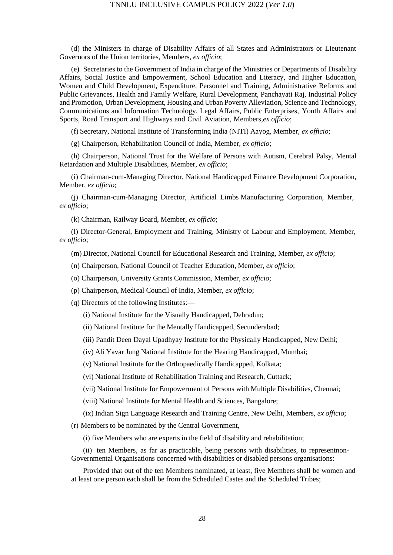(d) the Ministers in charge of Disability Affairs of all States and Administrators or Lieutenant Governors of the Union territories, Members, *ex officio*;

(e) Secretaries to the Government of India in charge of the Ministries or Departments of Disability Affairs, Social Justice and Empowerment, School Education and Literacy, and Higher Education, Women and Child Development, Expenditure, Personnel and Training, Administrative Reforms and Public Grievances, Health and Family Welfare, Rural Development, Panchayati Raj, Industrial Policy and Promotion, Urban Development, Housing and Urban Poverty Alleviation, Science and Technology, Communications and Information Technology, Legal Affairs, Public Enterprises, Youth Affairs and Sports, Road Transport and Highways and Civil Aviation, Members,*ex officio*;

(f) Secretary, National Institute of Transforming India (NITI) Aayog, Member, *ex officio*;

(g) Chairperson, Rehabilitation Council of India, Member, *ex officio*;

(h) Chairperson, National Trust for the Welfare of Persons with Autism, Cerebral Palsy, Mental Retardation and Multiple Disabilities, Member, *ex officio*;

(i) Chairman-cum-Managing Director, National Handicapped Finance Development Corporation, Member, *ex officio*;

(j) Chairman-cum-Managing Director, Artificial Limbs Manufacturing Corporation, Member, *ex officio*;

(k) Chairman, Railway Board, Member, *ex officio*;

(l) Director-General, Employment and Training, Ministry of Labour and Employment, Member, *ex officio*;

(m) Director, National Council for Educational Research and Training, Member, *ex officio*;

(n) Chairperson, National Council of Teacher Education, Member, *ex officio*;

(o) Chairperson, University Grants Commission, Member, *ex officio*;

(p) Chairperson, Medical Council of India, Member, *ex officio*;

(q) Directors of the following Institutes:—

(i) National Institute for the Visually Handicapped, Dehradun;

(ii) National Institute for the Mentally Handicapped, Secunderabad;

(iii) Pandit Deen Dayal Upadhyay Institute for the Physically Handicapped, New Delhi;

(iv) Ali Yavar Jung National Institute for the Hearing Handicapped, Mumbai;

(v) National Institute for the Orthopaedically Handicapped, Kolkata;

(vi) National Institute of Rehabilitation Training and Research, Cuttack;

(vii) National Institute for Empowerment of Persons with Multiple Disabilities, Chennai;

(viii) National Institute for Mental Health and Sciences, Bangalore;

(ix) Indian Sign Language Research and Training Centre, New Delhi, Members, *ex officio*;

(r) Members to be nominated by the Central Government,—

(i) five Members who are experts in the field of disability and rehabilitation;

(ii) ten Members, as far as practicable, being persons with disabilities, to representnon-Governmental Organisations concerned with disabilities or disabled persons organisations:

Provided that out of the ten Members nominated, at least, five Members shall be women and at least one person each shall be from the Scheduled Castes and the Scheduled Tribes;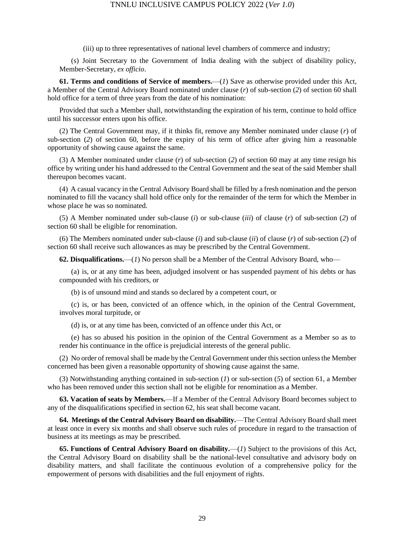(iii) up to three representatives of national level chambers of commerce and industry;

(s) Joint Secretary to the Government of India dealing with the subject of disability policy, Member-Secretary, *ex officio*.

**61. Terms and conditions of Service of members.**—(*1*) Save as otherwise provided under this Act, a Member of the Central Advisory Board nominated under clause (*r*) of sub-section (*2*) of section 60 shall hold office for a term of three years from the date of his nomination:

Provided that such a Member shall, notwithstanding the expiration of his term, continue to hold office until his successor enters upon his office.

(2) The Central Government may, if it thinks fit, remove any Member nominated under clause (*r*) of sub-section (*2*) of section 60, before the expiry of his term of office after giving him a reasonable opportunity of showing cause against the same.

(3) A Member nominated under clause (*r*) of sub-section (*2*) of section 60 may at any time resign his office by writing under his hand addressed to the Central Government and the seat of the said Member shall thereupon becomes vacant.

(4) A casual vacancy in the Central Advisory Board shall be filled by a fresh nomination and the person nominated to fill the vacancy shall hold office only for the remainder of the term for which the Member in whose place he was so nominated.

(5) A Member nominated under sub-clause (*i*) or sub-clause (*iii*) of clause (*r*) of sub-section (*2*) of section 60 shall be eligible for renomination.

(6) The Members nominated under sub-clause (*i*) and sub-clause (*ii*) of clause (*r*) of sub-section (*2*) of section 60 shall receive such allowances as may be prescribed by the Central Government.

**62. Disqualifications.**—(*1*) No person shall be a Member of the Central Advisory Board, who—

(a) is, or at any time has been, adjudged insolvent or has suspended payment of his debts or has compounded with his creditors, or

(b) is of unsound mind and stands so declared by a competent court, or

(c) is, or has been, convicted of an offence which, in the opinion of the Central Government, involves moral turpitude, or

(d) is, or at any time has been, convicted of an offence under this Act, or

(e) has so abused his position in the opinion of the Central Government as a Member so as to render his continuance in the office is prejudicial interests of the general public.

(2) No order of removal shall be made by the Central Government under this section unless the Member concerned has been given a reasonable opportunity of showing cause against the same.

(3) Notwithstanding anything contained in sub-section (*1*) or sub-section (*5*) of section 61, a Member who has been removed under this section shall not be eligible for renomination as a Member.

**63. Vacation of seats by Members.**—If a Member of the Central Advisory Board becomes subject to any of the disqualifications specified in section 62, his seat shall become vacant.

**64. Meetings of the Central Advisory Board on disability.**—The Central Advisory Board shall meet at least once in every six months and shall observe such rules of procedure in regard to the transaction of business at its meetings as may be prescribed.

**65. Functions of Central Advisory Board on disability.**—(*1*) Subject to the provisions of this Act, the Central Advisory Board on disability shall be the national-level consultative and advisory body on disability matters, and shall facilitate the continuous evolution of a comprehensive policy for the empowerment of persons with disabilities and the full enjoyment of rights.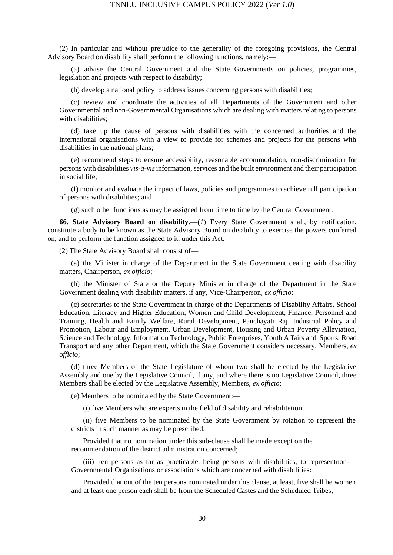(2) In particular and without prejudice to the generality of the foregoing provisions, the Central Advisory Board on disability shall perform the following functions, namely:—

(a) advise the Central Government and the State Governments on policies, programmes, legislation and projects with respect to disability;

(b) develop a national policy to address issues concerning persons with disabilities;

(c) review and coordinate the activities of all Departments of the Government and other Governmental and non-Governmental Organisations which are dealing with matters relating to persons with disabilities;

(d) take up the cause of persons with disabilities with the concerned authorities and the international organisations with a view to provide for schemes and projects for the persons with disabilities in the national plans;

(e) recommend steps to ensure accessibility, reasonable accommodation, non-discrimination for persons with disabilities *vis-a-vis*information,services and the built environment and their participation in social life;

(f) monitor and evaluate the impact of laws, policies and programmes to achieve full participation of persons with disabilities; and

(g) such other functions as may be assigned from time to time by the Central Government.

**66. State Advisory Board on disability.**—(*1*) Every State Government shall, by notification, constitute a body to be known as the State Advisory Board on disability to exercise the powers conferred on, and to perform the function assigned to it, under this Act.

(2) The State Advisory Board shall consist of—

(a) the Minister in charge of the Department in the State Government dealing with disability matters, Chairperson, *ex officio*;

(b) the Minister of State or the Deputy Minister in charge of the Department in the State Government dealing with disability matters, if any, Vice-Chairperson, *ex officio*;

(c) secretaries to the State Government in charge of the Departments of Disability Affairs, School Education, Literacy and Higher Education, Women and Child Development, Finance, Personnel and Training, Health and Family Welfare, Rural Development, Panchayati Raj, Industrial Policy and Promotion, Labour and Employment, Urban Development, Housing and Urban Poverty Alleviation, Science and Technology, Information Technology, Public Enterprises, Youth Affairs and Sports, Road Transport and any other Department, which the State Government considers necessary, Members, *ex officio*;

(d) three Members of the State Legislature of whom two shall be elected by the Legislative Assembly and one by the Legislative Council, if any, and where there is no Legislative Council, three Members shall be elected by the Legislative Assembly, Members, *ex officio*;

(e) Members to be nominated by the State Government:—

(i) five Members who are experts in the field of disability and rehabilitation;

(ii) five Members to be nominated by the State Government by rotation to represent the districts in such manner as may be prescribed:

Provided that no nomination under this sub-clause shall be made except on the recommendation of the district administration concerned;

(iii) ten persons as far as practicable, being persons with disabilities, to representnon-Governmental Organisations or associations which are concerned with disabilities:

Provided that out of the ten persons nominated under this clause, at least, five shall be women and at least one person each shall be from the Scheduled Castes and the Scheduled Tribes;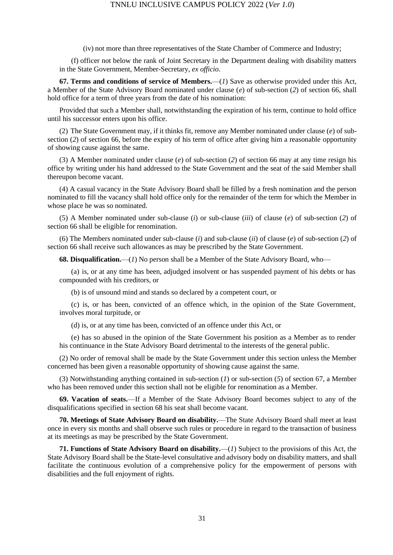(iv) not more than three representatives of the State Chamber of Commerce and Industry;

(f) officer not below the rank of Joint Secretary in the Department dealing with disability matters in the State Government, Member-Secretary, *ex officio*.

**67. Terms and conditions of service of Members.**—(*1*) Save as otherwise provided under this Act, a Member of the State Advisory Board nominated under clause (*e*) of sub-section (*2*) of section 66, shall hold office for a term of three years from the date of his nomination:

Provided that such a Member shall, notwithstanding the expiration of his term, continue to hold office until his successor enters upon his office.

(2) The State Government may, if it thinks fit, remove any Member nominated under clause (*e*) of subsection (*2*) of section 66, before the expiry of his term of office after giving him a reasonable opportunity of showing cause against the same.

(3) A Member nominated under clause (*e*) of sub-section (*2*) of section 66 may at any time resign his office by writing under his hand addressed to the State Government and the seat of the said Member shall thereupon become vacant.

(4) A casual vacancy in the State Advisory Board shall be filled by a fresh nomination and the person nominated to fill the vacancy shall hold office only for the remainder of the term for which the Member in whose place he was so nominated.

(5) A Member nominated under sub-clause (*i*) or sub-clause (*iii*) of clause (*e*) of sub-section (*2*) of section 66 shall be eligible for renomination.

(6) The Members nominated under sub-clause (*i*) and sub-clause (*ii*) of clause (*e*) of sub-section (*2*) of section 66 shall receive such allowances as may be prescribed by the State Government.

**68. Disqualification.**—(*1*) No person shall be a Member of the State Advisory Board, who—

(a) is, or at any time has been, adjudged insolvent or has suspended payment of his debts or has compounded with his creditors, or

(b) is of unsound mind and stands so declared by a competent court, or

(c) is, or has been, convicted of an offence which, in the opinion of the State Government, involves moral turpitude, or

(d) is, or at any time has been, convicted of an offence under this Act, or

(e) has so abused in the opinion of the State Government his position as a Member as to render his continuance in the State Advisory Board detrimental to the interests of the general public.

(2) No order of removal shall be made by the State Government under this section unless the Member concerned has been given a reasonable opportunity of showing cause against the same.

(3) Notwithstanding anything contained in sub-section (*1*) or sub-section (*5*) of section 67, a Member who has been removed under this section shall not be eligible for renomination as a Member.

**69. Vacation of seats.**—If a Member of the State Advisory Board becomes subject to any of the disqualifications specified in section 68 his seat shall become vacant.

**70. Meetings of State Advisory Board on disability.**—The State Advisory Board shall meet at least once in every six months and shall observe such rules or procedure in regard to the transaction of business at its meetings as may be prescribed by the State Government.

**71. Functions of State Advisory Board on disability.**—(*1*) Subject to the provisions of this Act, the State Advisory Board shall be the State-level consultative and advisory body on disability matters, and shall facilitate the continuous evolution of a comprehensive policy for the empowerment of persons with disabilities and the full enjoyment of rights.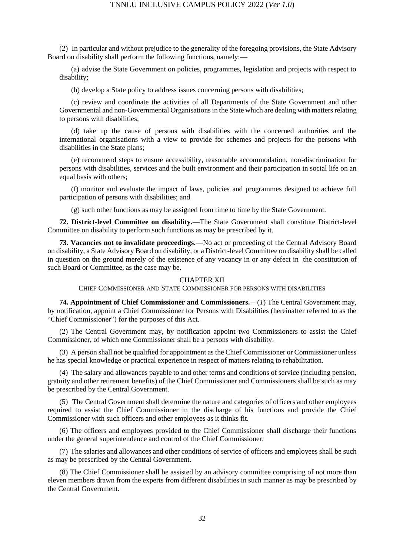(2) In particular and without prejudice to the generality of the foregoing provisions, the State Advisory Board on disability shall perform the following functions, namely:—

(a) advise the State Government on policies, programmes, legislation and projects with respect to disability;

(b) develop a State policy to address issues concerning persons with disabilities;

(c) review and coordinate the activities of all Departments of the State Government and other Governmental and non-Governmental Organisations in the State which are dealing with matters relating to persons with disabilities;

(d) take up the cause of persons with disabilities with the concerned authorities and the international organisations with a view to provide for schemes and projects for the persons with disabilities in the State plans;

(e) recommend steps to ensure accessibility, reasonable accommodation, non-discrimination for persons with disabilities, services and the built environment and their participation in social life on an equal basis with others;

(f) monitor and evaluate the impact of laws, policies and programmes designed to achieve full participation of persons with disabilities; and

(g) such other functions as may be assigned from time to time by the State Government.

**72. District-level Committee on disability.**—The State Government shall constitute District-level Committee on disability to perform such functions as may be prescribed by it.

**73. Vacancies not to invalidate proceedings.**—No act or proceeding of the Central Advisory Board on disability, a State Advisory Board on disability, or a District-level Committee on disability shall be called in question on the ground merely of the existence of any vacancy in or any defect in the constitution of such Board or Committee, as the case may be.

#### CHAPTER XII

CHIEF COMMISSIONER AND STATE COMMISSIONER FOR PERSONS WITH DISABILITIES

**74. Appointment of Chief Commissioner and Commissioners.**—(*1*) The Central Government may, by notification, appoint a Chief Commissioner for Persons with Disabilities (hereinafter referred to as the "Chief Commissioner") for the purposes of this Act.

(2) The Central Government may, by notification appoint two Commissioners to assist the Chief Commissioner, of which one Commissioner shall be a persons with disability.

(3) A person shall not be qualified for appointment as the Chief Commissioner or Commissioner unless he has special knowledge or practical experience in respect of matters relating to rehabilitation.

(4) The salary and allowances payable to and other terms and conditions of service (including pension, gratuity and other retirement benefits) of the Chief Commissioner and Commissioners shall be such as may be prescribed by the Central Government.

(5) The Central Government shall determine the nature and categories of officers and other employees required to assist the Chief Commissioner in the discharge of his functions and provide the Chief Commissioner with such officers and other employees as it thinks fit.

(6) The officers and employees provided to the Chief Commissioner shall discharge their functions under the general superintendence and control of the Chief Commissioner.

(7) The salaries and allowances and other conditions of service of officers and employees shall be such as may be prescribed by the Central Government.

(8) The Chief Commissioner shall be assisted by an advisory committee comprising of not more than eleven members drawn from the experts from different disabilities in such manner as may be prescribed by the Central Government.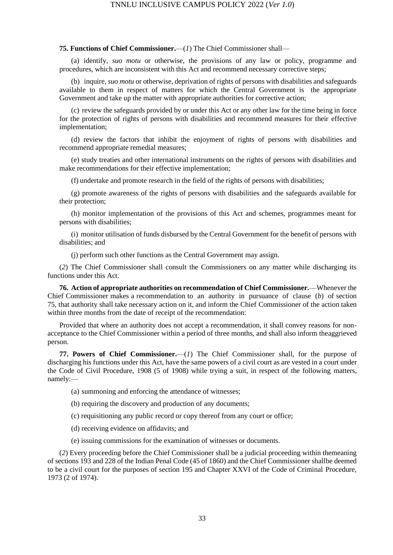#### **75. Functions of Chief Commissioner.**—(*1*) The Chief Commissioner shall—

(a) identify, *suo motu* or otherwise, the provisions of any law or policy, programme and procedures, which are inconsistent with this Act and recommend necessary corrective steps;

(b) inquire, *suo motu* or otherwise, deprivation of rights of persons with disabilities and safeguards available to them in respect of matters for which the Central Government is the appropriate Government and take up the matter with appropriate authorities for corrective action;

(c) review the safeguards provided by or under this Act or any other law for the time being in force for the protection of rights of persons with disabilities and recommend measures for their effective implementation;

(d) review the factors that inhibit the enjoyment of rights of persons with disabilities and recommend appropriate remedial measures;

(e) study treaties and other international instruments on the rights of persons with disabilities and make recommendations for their effective implementation;

(f) undertake and promote research in the field of the rights of persons with disabilities;

(g) promote awareness of the rights of persons with disabilities and the safeguards available for their protection;

(h) monitor implementation of the provisions of this Act and schemes, programmes meant for persons with disabilities;

(i) monitor utilisation of funds disbursed by the Central Government for the benefit of persons with disabilities; and

(j) perform such other functions as the Central Government may assign.

(*2*) The Chief Commissioner shall consult the Commissioners on any matter while discharging its functions under this Act.

**76. Action of appropriate authorities on recommendation of Chief Commissioner.**—Whenever the Chief Commissioner makes a recommendation to an authority in pursuance of clause (*b*) of section 75, that authority shall take necessary action on it, and inform the Chief Commissioner of the action taken within three months from the date of receipt of the recommendation:

Provided that where an authority does not accept a recommendation, it shall convey reasons for nonacceptance to the Chief Commissioner within a period of three months, and shall also inform theaggrieved person.

**77. Powers of Chief Commissioner.**—(*1*) The Chief Commissioner shall, for the purpose of discharging his functions under this Act, have the same powers of a civil court as are vested in a court under the Code of Civil Procedure, 1908 (5 of 1908) while trying a suit, in respect of the following matters, namely:—

(a) summoning and enforcing the attendance of witnesses;

(b) requiring the discovery and production of any documents;

(c) requisitioning any public record or copy thereof from any court or office;

(d) receiving evidence on affidavits; and

(e) issuing commissions for the examination of witnesses or documents.

(*2*) Every proceeding before the Chief Commissioner shall be a judicial proceeding within themeaning of sections 193 and 228 of the Indian Penal Code (45 of 1860) and the Chief Commissioner shallbe deemed to be a civil court for the purposes of section 195 and Chapter XXVI of the Code of Criminal Procedure, 1973 (2 of 1974).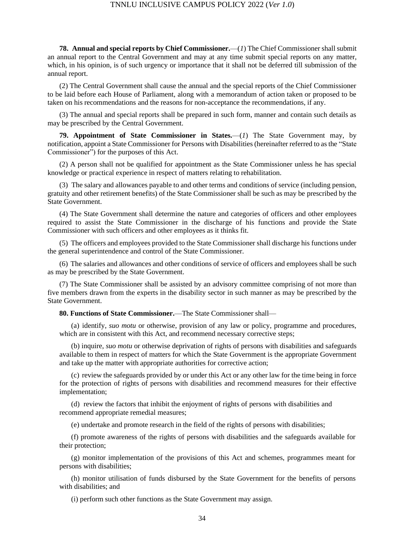**78. Annual and special reports by Chief Commissioner.**—(*1*) The Chief Commissioner shall submit an annual report to the Central Government and may at any time submit special reports on any matter, which, in his opinion, is of such urgency or importance that it shall not be deferred till submission of the annual report.

(2) The Central Government shall cause the annual and the special reports of the Chief Commissioner to be laid before each House of Parliament, along with a memorandum of action taken or proposed to be taken on his recommendations and the reasons for non-acceptance the recommendations, if any.

(3) The annual and special reports shall be prepared in such form, manner and contain such details as may be prescribed by the Central Government.

**79. Appointment of State Commissioner in States.**—(*1*) The State Government may, by notification, appoint a State Commissioner for Persons with Disabilities (hereinafter referred to as the "State Commissioner") for the purposes of this Act.

(2) A person shall not be qualified for appointment as the State Commissioner unless he has special knowledge or practical experience in respect of matters relating to rehabilitation.

(3) The salary and allowances payable to and other terms and conditions of service (including pension, gratuity and other retirement benefits) of the State Commissioner shall be such as may be prescribed by the State Government.

(4) The State Government shall determine the nature and categories of officers and other employees required to assist the State Commissioner in the discharge of his functions and provide the State Commissioner with such officers and other employees as it thinks fit.

(5) The officers and employees provided to the State Commissioner shall discharge his functions under the general superintendence and control of the State Commissioner.

(6) The salaries and allowances and other conditions of service of officers and employees shall be such as may be prescribed by the State Government.

(7) The State Commissioner shall be assisted by an advisory committee comprising of not more than five members drawn from the experts in the disability sector in such manner as may be prescribed by the State Government.

**80. Functions of State Commissioner.**—The State Commissioner shall—

(a) identify, *suo motu* or otherwise, provision of any law or policy, programme and procedures, which are in consistent with this Act, and recommend necessary corrective steps;

(b) inquire, *suo motu* or otherwise deprivation of rights of persons with disabilities and safeguards available to them in respect of matters for which the State Government is the appropriate Government and take up the matter with appropriate authorities for corrective action;

(c) review the safeguards provided by or under this Act or any other law for the time being in force for the protection of rights of persons with disabilities and recommend measures for their effective implementation;

(d) review the factors that inhibit the enjoyment of rights of persons with disabilities and recommend appropriate remedial measures;

(e) undertake and promote research in the field of the rights of persons with disabilities;

(f) promote awareness of the rights of persons with disabilities and the safeguards available for their protection;

(g) monitor implementation of the provisions of this Act and schemes, programmes meant for persons with disabilities;

(h) monitor utilisation of funds disbursed by the State Government for the benefits of persons with disabilities; and

(i) perform such other functions as the State Government may assign.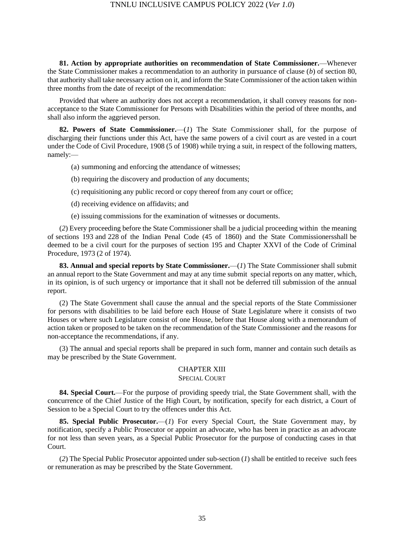**81. Action by appropriate authorities on recommendation of State Commissioner.**—Whenever the State Commissioner makes a recommendation to an authority in pursuance of clause (*b*) of section 80, that authority shall take necessary action on it, and inform the State Commissioner of the action taken within three months from the date of receipt of the recommendation:

Provided that where an authority does not accept a recommendation, it shall convey reasons for nonacceptance to the State Commissioner for Persons with Disabilities within the period of three months, and shall also inform the aggrieved person.

**82. Powers of State Commissioner.**—(*1*) The State Commissioner shall, for the purpose of discharging their functions under this Act, have the same powers of a civil court as are vested in a court under the Code of Civil Procedure, 1908 (5 of 1908) while trying a suit, in respect of the following matters, namely:—

- (a) summoning and enforcing the attendance of witnesses;
- (b) requiring the discovery and production of any documents;
- (c) requisitioning any public record or copy thereof from any court or office;
- (d) receiving evidence on affidavits; and
- (e) issuing commissions for the examination of witnesses or documents.

(*2*) Every proceeding before the State Commissioner shall be a judicial proceeding within the meaning of sections 193 and 228 of the Indian Penal Code (45 of 1860) and the State Commissionersshall be deemed to be a civil court for the purposes of section 195 and Chapter XXVI of the Code of Criminal Procedure, 1973 (2 of 1974).

**83. Annual and special reports by State Commissioner.**—(*1*) The State Commissioner shall submit an annual report to the State Government and may at any time submit special reports on any matter, which, in its opinion, is of such urgency or importance that it shall not be deferred till submission of the annual report.

(2) The State Government shall cause the annual and the special reports of the State Commissioner for persons with disabilities to be laid before each House of State Legislature where it consists of two Houses or where such Legislature consist of one House, before that House along with a memorandum of action taken or proposed to be taken on the recommendation of the State Commissioner and the reasons for non-acceptance the recommendations, if any.

(3) The annual and special reports shall be prepared in such form, manner and contain such details as may be prescribed by the State Government.

#### CHAPTER XIII SPECIAL COURT

**84. Special Court.**—For the purpose of providing speedy trial, the State Government shall, with the concurrence of the Chief Justice of the High Court, by notification, specify for each district, a Court of Session to be a Special Court to try the offences under this Act.

**85. Special Public Prosecutor.**—(*1*) For every Special Court, the State Government may, by notification, specify a Public Prosecutor or appoint an advocate, who has been in practice as an advocate for not less than seven years, as a Special Public Prosecutor for the purpose of conducting cases in that Court.

(*2*) The Special Public Prosecutor appointed under sub-section (*1*) shall be entitled to receive such fees or remuneration as may be prescribed by the State Government.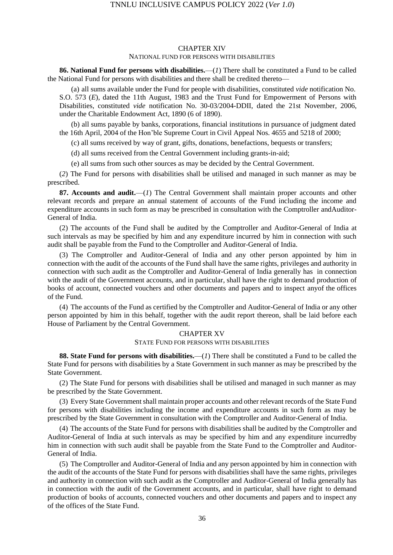#### CHAPTER XIV

#### NATIONAL FUND FOR PERSONS WITH DISABILITIES

**86. National Fund for persons with disabilities.**—(*1*) There shall be constituted a Fund to be called the National Fund for persons with disabilities and there shall be credited thereto—

(a) all sums available under the Fund for people with disabilities, constituted *vide* notification No. S.O. 573 (*E*), dated the 11th August, 1983 and the Trust Fund for Empowerment of Persons with Disabilities, constituted *vide* notification No. 30-03/2004-DDII, dated the 21st November, 2006, under the Charitable Endowment Act, 1890 (6 of 1890).

(b) all sums payable by banks, corporations, financial institutions in pursuance of judgment dated the 16th April, 2004 of the Hon'ble Supreme Court in Civil Appeal Nos. 4655 and 5218 of 2000;

(c) all sums received by way of grant, gifts, donations, benefactions, bequests or transfers;

(d) all sums received from the Central Government including grants-in-aid;

(e) all sums from such other sources as may be decided by the Central Government.

(*2*) The Fund for persons with disabilities shall be utilised and managed in such manner as may be prescribed.

**87. Accounts and audit.**—(*1*) The Central Government shall maintain proper accounts and other relevant records and prepare an annual statement of accounts of the Fund including the income and expenditure accounts in such form as may be prescribed in consultation with the Comptroller andAuditor-General of India.

(2) The accounts of the Fund shall be audited by the Comptroller and Auditor-General of India at such intervals as may be specified by him and any expenditure incurred by him in connection with such audit shall be payable from the Fund to the Comptroller and Auditor-General of India.

(3) The Comptroller and Auditor-General of India and any other person appointed by him in connection with the audit of the accounts of the Fund shall have the same rights, privileges and authority in connection with such audit as the Comptroller and Auditor-General of India generally has in connection with the audit of the Government accounts, and in particular, shall have the right to demand production of books of account, connected vouchers and other documents and papers and to inspect anyof the offices of the Fund.

(4) The accounts of the Fund as certified by the Comptroller and Auditor-General of India or any other person appointed by him in this behalf, together with the audit report thereon, shall be laid before each House of Parliament by the Central Government.

## CHAPTER XV

#### STATE FUND FOR PERSONS WITH DISABILITIES

**88. State Fund for persons with disabilities.**—(*1*) There shall be constituted a Fund to be called the State Fund for persons with disabilities by a State Government in such manner as may be prescribed by the State Government.

(2) The State Fund for persons with disabilities shall be utilised and managed in such manner as may be prescribed by the State Government.

(3) Every State Government shall maintain proper accounts and other relevant records of the State Fund for persons with disabilities including the income and expenditure accounts in such form as may be prescribed by the State Government in consultation with the Comptroller and Auditor-General of India.

(4) The accounts of the State Fund for persons with disabilities shall be audited by the Comptroller and Auditor-General of India at such intervals as may be specified by him and any expenditure incurredby him in connection with such audit shall be payable from the State Fund to the Comptroller and Auditor-General of India.

(5) The Comptroller and Auditor-General of India and any person appointed by him in connection with the audit of the accounts of the State Fund for persons with disabilities shall have the same rights, privileges and authority in connection with such audit as the Comptroller and Auditor-General of India generally has in connection with the audit of the Government accounts, and in particular, shall have right to demand production of books of accounts, connected vouchers and other documents and papers and to inspect any of the offices of the State Fund.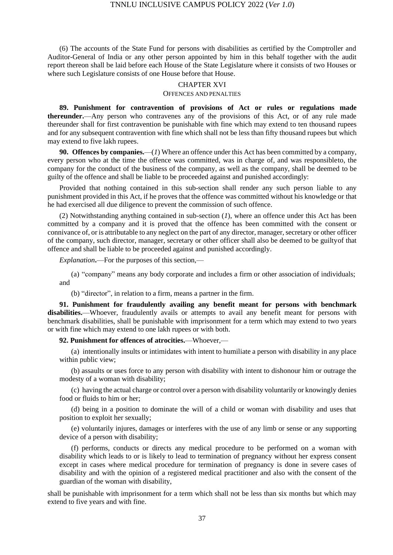(6) The accounts of the State Fund for persons with disabilities as certified by the Comptroller and Auditor-General of India or any other person appointed by him in this behalf together with the audit report thereon shall be laid before each House of the State Legislature where it consists of two Houses or where such Legislature consists of one House before that House.

#### CHAPTER XVI

#### OFFENCES AND PENALTIES

**89. Punishment for contravention of provisions of Act or rules or regulations made thereunder.**—Any person who contravenes any of the provisions of this Act, or of any rule made thereunder shall for first contravention be punishable with fine which may extend to ten thousand rupees and for any subsequent contravention with fine which shall not be less than fifty thousand rupees but which may extend to five lakh rupees.

**90. Offences by companies.**—(*1*) Where an offence under this Act has been committed by a company, every person who at the time the offence was committed, was in charge of, and was responsibleto, the company for the conduct of the business of the company, as well as the company, shall be deemed to be guilty of the offence and shall be liable to be proceeded against and punished accordingly:

Provided that nothing contained in this sub-section shall render any such person liable to any punishment provided in this Act, if he proves that the offence was committed without his knowledge or that he had exercised all due diligence to prevent the commission of such offence.

(2) Notwithstanding anything contained in sub-section (*1*), where an offence under this Act has been committed by a company and it is proved that the offence has been committed with the consent or connivance of, or is attributable to any neglect on the part of any director, manager, secretary or other officer of the company, such director, manager, secretary or other officer shall also be deemed to be guiltyof that offence and shall be liable to be proceeded against and punished accordingly.

*Explanation***.**—For the purposes of this section,—

(a) "company" means any body corporate and includes a firm or other association of individuals; and

(b) "director", in relation to a firm, means a partner in the firm.

**91. Punishment for fraudulently availing any benefit meant for persons with benchmark disabilities.**—Whoever, fraudulently avails or attempts to avail any benefit meant for persons with benchmark disabilities, shall be punishable with imprisonment for a term which may extend to two years or with fine which may extend to one lakh rupees or with both.

**92. Punishment for offences of atrocities.**—Whoever,—

(a) intentionally insults or intimidates with intent to humiliate a person with disability in any place within public view;

(b) assaults or uses force to any person with disability with intent to dishonour him or outrage the modesty of a woman with disability;

(c) having the actual charge or control over a person with disability voluntarily or knowingly denies food or fluids to him or her;

(d) being in a position to dominate the will of a child or woman with disability and uses that position to exploit her sexually;

(e) voluntarily injures, damages or interferes with the use of any limb or sense or any supporting device of a person with disability;

(f) performs, conducts or directs any medical procedure to be performed on a woman with disability which leads to or is likely to lead to termination of pregnancy without her express consent except in cases where medical procedure for termination of pregnancy is done in severe cases of disability and with the opinion of a registered medical practitioner and also with the consent of the guardian of the woman with disability,

shall be punishable with imprisonment for a term which shall not be less than six months but which may extend to five years and with fine.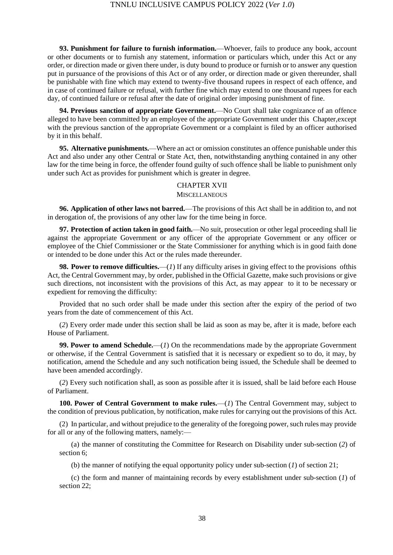**93. Punishment for failure to furnish information.**—Whoever, fails to produce any book, account or other documents or to furnish any statement, information or particulars which, under this Act or any order, or direction made or given there under, is duty bound to produce or furnish or to answer any question put in pursuance of the provisions of this Act or of any order, or direction made or given thereunder, shall be punishable with fine which may extend to twenty-five thousand rupees in respect of each offence, and in case of continued failure or refusal, with further fine which may extend to one thousand rupees for each day, of continued failure or refusal after the date of original order imposing punishment of fine.

**94. Previous sanction of appropriate Government.**—No Court shall take cognizance of an offence alleged to have been committed by an employee of the appropriate Government under this Chapter,except with the previous sanction of the appropriate Government or a complaint is filed by an officer authorised by it in this behalf.

**95. Alternative punishments.**—Where an act or omission constitutes an offence punishable under this Act and also under any other Central or State Act, then, notwithstanding anything contained in any other law for the time being in force, the offender found guilty of such offence shall be liable to punishment only under such Act as provides for punishment which is greater in degree.

#### CHAPTER XVII

#### **MISCELLANEOUS**

**96. Application of other laws not barred.**—The provisions of this Act shall be in addition to, and not in derogation of, the provisions of any other law for the time being in force.

**97. Protection of action taken in good faith.**—No suit, prosecution or other legal proceeding shall lie against the appropriate Government or any officer of the appropriate Government or any officer or employee of the Chief Commissioner or the State Commissioner for anything which is in good faith done or intended to be done under this Act or the rules made thereunder.

**98. Power to remove difficulties.**—(*1*) If any difficulty arises in giving effect to the provisions ofthis Act, the Central Government may, by order, published in the Official Gazette, make such provisions or give such directions, not inconsistent with the provisions of this Act, as may appear to it to be necessary or expedient for removing the difficulty:

Provided that no such order shall be made under this section after the expiry of the period of two years from the date of commencement of this Act.

(*2*) Every order made under this section shall be laid as soon as may be, after it is made, before each House of Parliament.

**99. Power to amend Schedule.**—(*1*) On the recommendations made by the appropriate Government or otherwise, if the Central Government is satisfied that it is necessary or expedient so to do, it may, by notification, amend the Schedule and any such notification being issued, the Schedule shall be deemed to have been amended accordingly.

(*2*) Every such notification shall, as soon as possible after it is issued, shall be laid before each House of Parliament.

**100. Power of Central Government to make rules.**—(*1*) The Central Government may, subject to the condition of previous publication, by notification, make rules for carrying out the provisions of this Act.

(2) In particular, and without prejudice to the generality of the foregoing power, such rules may provide for all or any of the following matters, namely:—

(a) the manner of constituting the Committee for Research on Disability under sub-section (*2*) of section 6;

(b) the manner of notifying the equal opportunity policy under sub-section (*1*) of section 21;

(c) the form and manner of maintaining records by every establishment under sub-section (*1*) of section 22;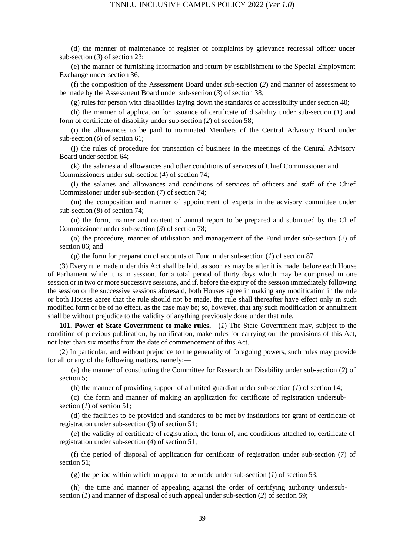(d) the manner of maintenance of register of complaints by grievance redressal officer under sub-section (*3*) of section 23;

(e) the manner of furnishing information and return by establishment to the Special Employment Exchange under section 36;

(f) the composition of the Assessment Board under sub-section (*2*) and manner of assessment to be made by the Assessment Board under sub-section (*3*) of section 38;

(g) rules for person with disabilities laying down the standards of accessibility under section 40;

(h) the manner of application for issuance of certificate of disability under sub-section (*1*) and form of certificate of disability under sub-section (*2*) of section 58;

(i) the allowances to be paid to nominated Members of the Central Advisory Board under sub-section (*6*) of section 61;

(j) the rules of procedure for transaction of business in the meetings of the Central Advisory Board under section 64;

(k) the salaries and allowances and other conditions of services of Chief Commissioner and Commissioners under sub-section (*4*) of section 74;

(l) the salaries and allowances and conditions of services of officers and staff of the Chief Commissioner under sub-section (*7*) of section 74;

(m) the composition and manner of appointment of experts in the advisory committee under sub-section (*8*) of section 74;

(n) the form, manner and content of annual report to be prepared and submitted by the Chief Commissioner under sub-section (*3*) of section 78;

(o) the procedure, manner of utilisation and management of the Fund under sub-section (*2*) of section 86; and

(p) the form for preparation of accounts of Fund under sub-section (*1*) of section 87.

(3) Every rule made under this Act shall be laid, as soon as may be after it is made, before each House of Parliament while it is in session, for a total period of thirty days which may be comprised in one session or in two or more successive sessions, and if, before the expiry of the session immediately following the session or the successive sessions aforesaid, both Houses agree in making any modification in the rule or both Houses agree that the rule should not be made, the rule shall thereafter have effect only in such modified form or be of no effect, as the case may be; so, however, that any such modification or annulment shall be without prejudice to the validity of anything previously done under that rule.

**101. Power of State Government to make rules.**—(*1*) The State Government may, subject to the condition of previous publication, by notification, make rules for carrying out the provisions of this Act, not later than six months from the date of commencement of this Act.

(2) In particular, and without prejudice to the generality of foregoing powers, such rules may provide for all or any of the following matters, namely:—

(a) the manner of constituting the Committee for Research on Disability under sub-section (*2*) of section 5;

(b) the manner of providing support of a limited guardian under sub-section (*1*) of section 14;

(c) the form and manner of making an application for certificate of registration undersubsection (*1*) of section 51;

(d) the facilities to be provided and standards to be met by institutions for grant of certificate of registration under sub-section (*3*) of section 51;

(e) the validity of certificate of registration, the form of, and conditions attached to, certificate of registration under sub-section (*4*) of section 51;

(f) the period of disposal of application for certificate of registration under sub-section (*7*) of section 51;

(g) the period within which an appeal to be made under sub-section (*1*) of section 53;

(h) the time and manner of appealing against the order of certifying authority undersubsection (*1*) and manner of disposal of such appeal under sub-section (*2*) of section 59;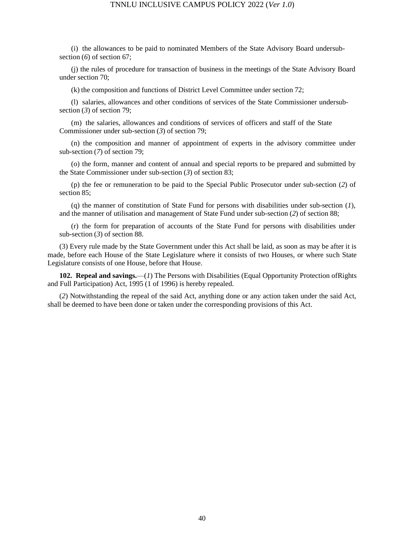(i) the allowances to be paid to nominated Members of the State Advisory Board undersubsection (*6*) of section 67;

(j) the rules of procedure for transaction of business in the meetings of the State Advisory Board under section 70;

(k) the composition and functions of District Level Committee under section 72;

(l) salaries, allowances and other conditions of services of the State Commissioner undersubsection (*3*) of section 79;

(m) the salaries, allowances and conditions of services of officers and staff of the State Commissioner under sub-section (*3*) of section 79;

(n) the composition and manner of appointment of experts in the advisory committee under sub-section (*7*) of section 79;

(o) the form, manner and content of annual and special reports to be prepared and submitted by the State Commissioner under sub-section (*3*) of section 83;

(p) the fee or remuneration to be paid to the Special Public Prosecutor under sub-section (*2*) of section 85;

(q) the manner of constitution of State Fund for persons with disabilities under sub-section (*1*), and the manner of utilisation and management of State Fund under sub-section (*2*) of section 88;

(r) the form for preparation of accounts of the State Fund for persons with disabilities under sub-section (*3*) of section 88.

(3) Every rule made by the State Government under this Act shall be laid, as soon as may be after it is made, before each House of the State Legislature where it consists of two Houses, or where such State Legislature consists of one House, before that House.

**102. Repeal and savings.**—(*1*) The Persons with Disabilities (Equal Opportunity Protection ofRights and Full Participation) Act, 1995 (1 of 1996) is hereby repealed.

(*2*) Notwithstanding the repeal of the said Act, anything done or any action taken under the said Act, shall be deemed to have been done or taken under the corresponding provisions of this Act.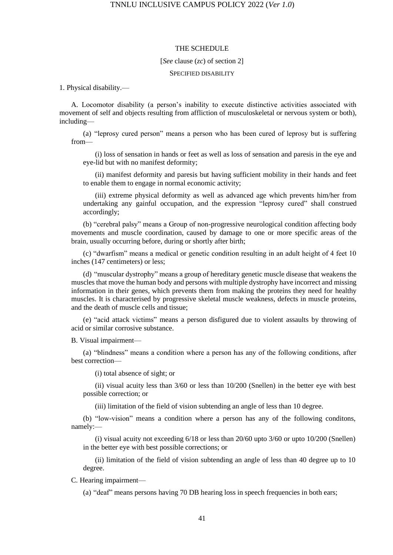#### THE SCHEDULE

[*See* clause (*zc*) of section 2]

#### SPECIFIED DISABILITY

1. Physical disability.—

A. Locomotor disability (a person's inability to execute distinctive activities associated with movement of self and objects resulting from affliction of musculoskeletal or nervous system or both), including—

(a) "leprosy cured person" means a person who has been cured of leprosy but is suffering from—

(i) loss of sensation in hands or feet as well as loss of sensation and paresis in the eye and eye-lid but with no manifest deformity;

(ii) manifest deformity and paresis but having sufficient mobility in their hands and feet to enable them to engage in normal economic activity;

(iii) extreme physical deformity as well as advanced age which prevents him/her from undertaking any gainful occupation, and the expression "leprosy cured" shall construed accordingly;

(b) "cerebral palsy" means a Group of non-progressive neurological condition affecting body movements and muscle coordination, caused by damage to one or more specific areas of the brain, usually occurring before, during or shortly after birth;

(c) "dwarfism" means a medical or genetic condition resulting in an adult height of 4 feet 10 inches (147 centimeters) or less;

(d) "muscular dystrophy" means a group of hereditary genetic muscle disease that weakens the muscles that move the human body and persons with multiple dystrophy have incorrect and missing information in their genes, which prevents them from making the proteins they need for healthy muscles. It is characterised by progressive skeletal muscle weakness, defects in muscle proteins, and the death of muscle cells and tissue;

(e) "acid attack victims" means a person disfigured due to violent assaults by throwing of acid or similar corrosive substance.

B. Visual impairment—

(a) "blindness" means a condition where a person has any of the following conditions, after best correction—

(i) total absence of sight; or

(ii) visual acuity less than 3/60 or less than 10/200 (Snellen) in the better eye with best possible correction; or

(iii) limitation of the field of vision subtending an angle of less than 10 degree.

(b) "low-vision" means a condition where a person has any of the following conditons, namely:—

(i) visual acuity not exceeding 6/18 or less than 20/60 upto 3/60 or upto 10/200 (Snellen) in the better eye with best possible corrections; or

(ii) limitation of the field of vision subtending an angle of less than 40 degree up to 10 degree.

C. Hearing impairment—

(a) "deaf" means persons having 70 DB hearing loss in speech frequencies in both ears;